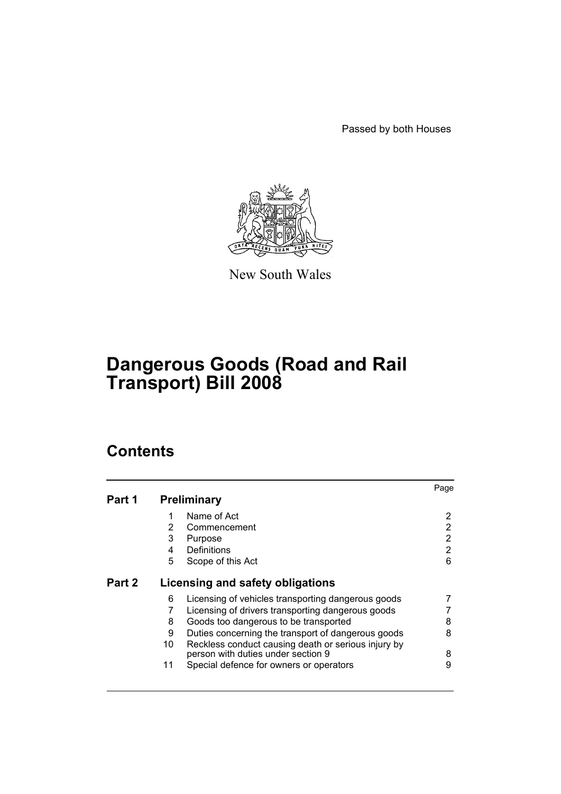Passed by both Houses



New South Wales

# **Dangerous Goods (Road and Rail Transport) Bill 2008**

|        |    |                                                     | Page |
|--------|----|-----------------------------------------------------|------|
| Part 1 |    | <b>Preliminary</b>                                  |      |
|        | 1  | Name of Act                                         | 2    |
|        | 2  | Commencement                                        | 2    |
|        | 3  | Purpose                                             | 2    |
|        | 4  | Definitions                                         | 2    |
|        | 5  | Scope of this Act                                   | 6    |
| Part 2 |    | Licensing and safety obligations                    |      |
|        | 6  | Licensing of vehicles transporting dangerous goods  |      |
|        | 7  | Licensing of drivers transporting dangerous goods   |      |
|        | 8  | Goods too dangerous to be transported               | 8    |
|        | 9  | Duties concerning the transport of dangerous goods  | 8    |
|        | 10 | Reckless conduct causing death or serious injury by |      |
|        |    | person with duties under section 9                  | 8    |
|        | 11 | Special defence for owners or operators             | 9    |
|        |    |                                                     |      |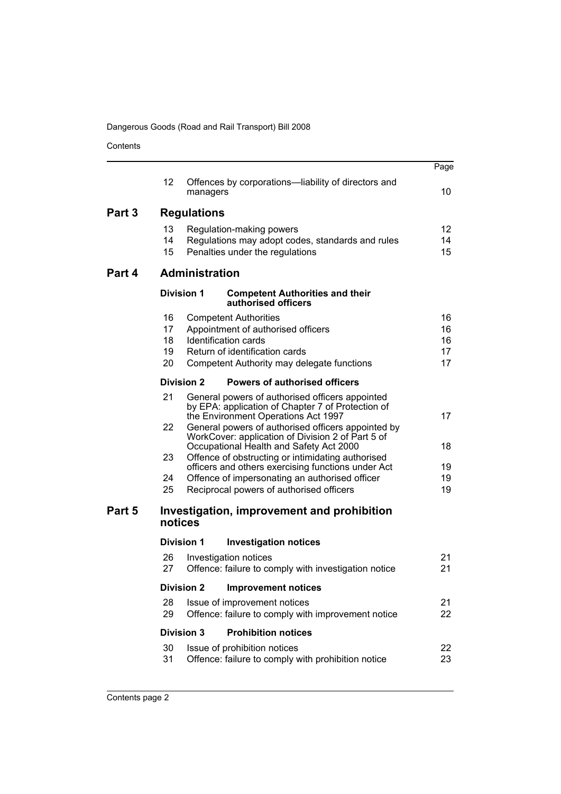|        |                            |                                                                                                                                                                                                   | Page                       |
|--------|----------------------------|---------------------------------------------------------------------------------------------------------------------------------------------------------------------------------------------------|----------------------------|
|        | 12                         | Offences by corporations—liability of directors and<br>managers                                                                                                                                   | 10                         |
| Part 3 |                            | <b>Regulations</b>                                                                                                                                                                                |                            |
|        | 13<br>14<br>15             | Regulation-making powers<br>Regulations may adopt codes, standards and rules<br>Penalties under the regulations                                                                                   | 12<br>14<br>15             |
| Part 4 |                            | <b>Administration</b>                                                                                                                                                                             |                            |
|        |                            | <b>Division 1</b><br><b>Competent Authorities and their</b><br>authorised officers                                                                                                                |                            |
|        | 16<br>17<br>18<br>19<br>20 | <b>Competent Authorities</b><br>Appointment of authorised officers<br>Identification cards<br>Return of identification cards<br>Competent Authority may delegate functions                        | 16<br>16<br>16<br>17<br>17 |
|        |                            | <b>Division 2</b><br><b>Powers of authorised officers</b>                                                                                                                                         |                            |
|        | 21<br>22                   | General powers of authorised officers appointed<br>by EPA: application of Chapter 7 of Protection of<br>the Environment Operations Act 1997<br>General powers of authorised officers appointed by | 17                         |
|        |                            | WorkCover: application of Division 2 of Part 5 of<br>Occupational Health and Safety Act 2000                                                                                                      | 18                         |
|        | 23                         | Offence of obstructing or intimidating authorised<br>officers and others exercising functions under Act                                                                                           | 19                         |
|        | 24<br>25                   | Offence of impersonating an authorised officer<br>Reciprocal powers of authorised officers                                                                                                        | 19<br>19                   |
| Part 5 |                            | Investigation, improvement and prohibition<br>notices                                                                                                                                             |                            |
|        |                            | <b>Division 1</b><br><b>Investigation notices</b>                                                                                                                                                 |                            |
|        | 26<br>27                   | Investigation notices<br>Offence: failure to comply with investigation notice                                                                                                                     | 21<br>21                   |
|        |                            | <b>Division 2 Improvement notices</b>                                                                                                                                                             |                            |
|        | 28<br>29                   | Issue of improvement notices<br>Offence: failure to comply with improvement notice                                                                                                                | 21<br>22                   |
|        |                            | <b>Division 3</b><br><b>Prohibition notices</b>                                                                                                                                                   |                            |
|        | 30<br>31                   | Issue of prohibition notices<br>Offence: failure to comply with prohibition notice                                                                                                                | 22<br>23                   |
|        |                            |                                                                                                                                                                                                   |                            |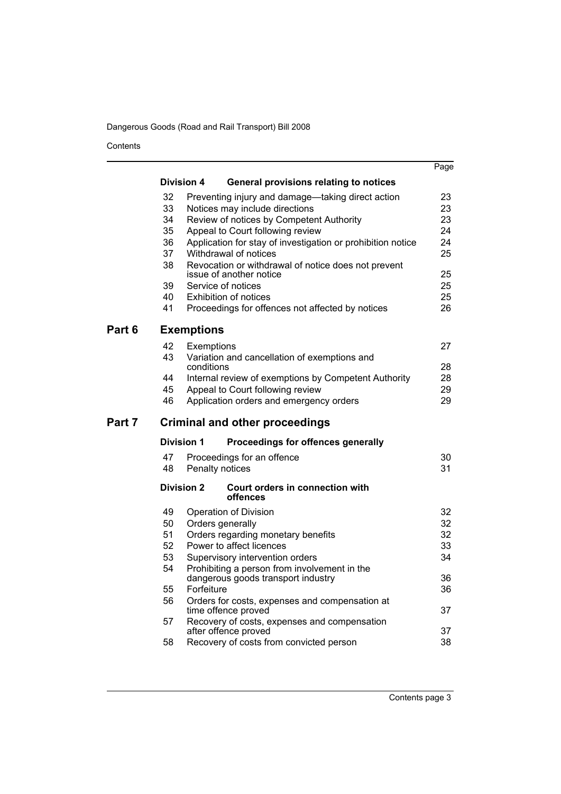|        |                   |                              |                                                                                    | Page |
|--------|-------------------|------------------------------|------------------------------------------------------------------------------------|------|
|        | <b>Division 4</b> |                              | General provisions relating to notices                                             |      |
|        | 32                |                              | Preventing injury and damage—taking direct action                                  | 23   |
|        | 33                |                              | Notices may include directions                                                     | 23   |
|        | 34                |                              | Review of notices by Competent Authority                                           | 23   |
|        | 35                |                              | Appeal to Court following review                                                   | 24   |
|        | 36                |                              | Application for stay of investigation or prohibition notice                        | 24   |
|        | 37<br>38          | Withdrawal of notices        |                                                                                    | 25   |
|        |                   | issue of another notice      | Revocation or withdrawal of notice does not prevent                                | 25   |
|        | 39                | Service of notices           |                                                                                    | 25   |
|        | 40                | <b>Exhibition of notices</b> |                                                                                    | 25   |
|        | 41                |                              | Proceedings for offences not affected by notices                                   | 26   |
| Part 6 |                   | <b>Exemptions</b>            |                                                                                    |      |
|        | 42                | Exemptions                   |                                                                                    | 27   |
|        | 43                |                              | Variation and cancellation of exemptions and                                       |      |
|        |                   | conditions                   |                                                                                    | 28   |
|        | 44                |                              | Internal review of exemptions by Competent Authority                               | 28   |
|        | 45                |                              | Appeal to Court following review                                                   | 29   |
|        | 46                |                              | Application orders and emergency orders                                            | 29   |
| Part 7 |                   |                              | <b>Criminal and other proceedings</b>                                              |      |
|        | <b>Division 1</b> |                              | Proceedings for offences generally                                                 |      |
|        | 47                |                              | Proceedings for an offence                                                         | 30   |
|        | 48                | Penalty notices              |                                                                                    | 31   |
|        | <b>Division 2</b> |                              | Court orders in connection with<br>offences                                        |      |
|        | 49                | Operation of Division        |                                                                                    | 32   |
|        | 50                | Orders generally             |                                                                                    | 32   |
|        | 51                |                              | Orders regarding monetary benefits                                                 | 32   |
|        | 52                | Power to affect licences     |                                                                                    | 33   |
|        | 53                |                              | Supervisory intervention orders                                                    | 34   |
|        | 54                |                              | Prohibiting a person from involvement in the<br>dangerous goods transport industry | 36   |
|        | 55                | Forfeiture                   |                                                                                    | 36   |
|        | 56                |                              | Orders for costs, expenses and compensation at                                     |      |
|        |                   | time offence proved          |                                                                                    | 37   |
|        | 57                |                              | Recovery of costs, expenses and compensation                                       |      |
|        |                   | after offence proved         |                                                                                    | 37   |
|        | 58                |                              | Recovery of costs from convicted person                                            | 38   |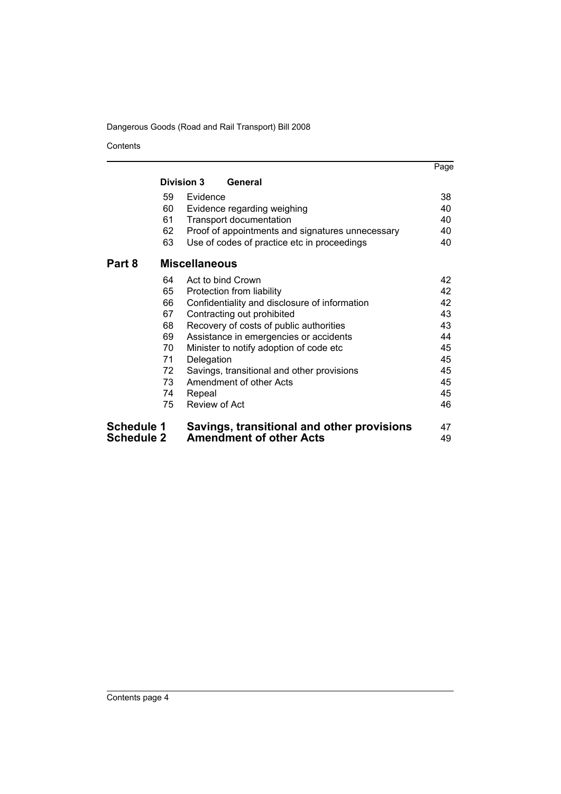|                   |    |                                                  | Page |
|-------------------|----|--------------------------------------------------|------|
|                   |    | <b>Division 3</b><br>General                     |      |
|                   | 59 | Evidence                                         | 38   |
|                   | 60 | Evidence regarding weighing                      | 40   |
|                   | 61 | <b>Transport documentation</b>                   | 40   |
|                   | 62 | Proof of appointments and signatures unnecessary | 40   |
|                   | 63 | Use of codes of practice etc in proceedings      | 40   |
| Part 8            |    | <b>Miscellaneous</b>                             |      |
|                   | 64 | Act to bind Crown                                | 42   |
|                   | 65 | Protection from liability                        | 42   |
|                   | 66 | Confidentiality and disclosure of information    | 42   |
|                   | 67 | Contracting out prohibited                       | 43   |
|                   | 68 | Recovery of costs of public authorities          | 43   |
|                   | 69 | Assistance in emergencies or accidents           | 44   |
|                   | 70 | Minister to notify adoption of code etc.         | 45   |
|                   | 71 | Delegation                                       | 45   |
|                   | 72 | Savings, transitional and other provisions       | 45   |
|                   | 73 | Amendment of other Acts                          | 45   |
|                   | 74 | Repeal                                           | 45   |
|                   | 75 | Review of Act                                    | 46   |
| <b>Schedule 1</b> |    | Savings, transitional and other provisions       | 47   |
| Schedule 2        |    | <b>Amendment of other Acts</b>                   | 49   |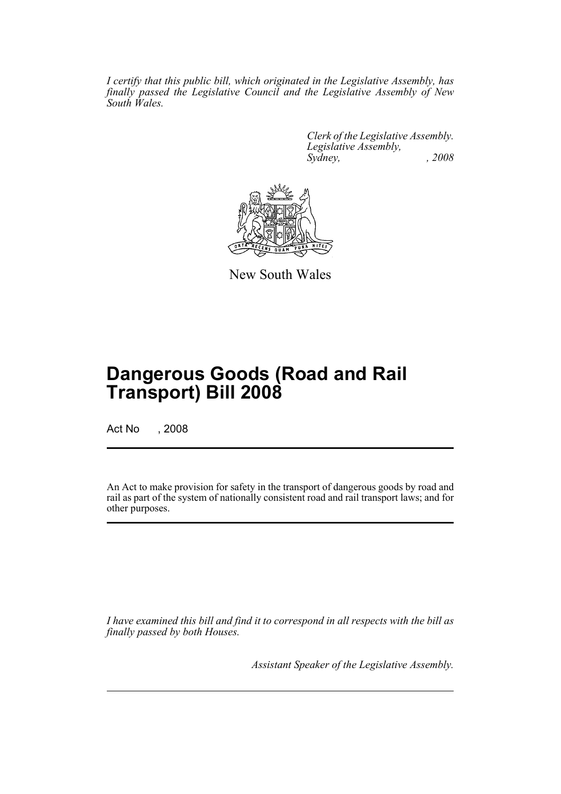*I certify that this public bill, which originated in the Legislative Assembly, has finally passed the Legislative Council and the Legislative Assembly of New South Wales.*

> *Clerk of the Legislative Assembly. Legislative Assembly, Sydney, , 2008*



New South Wales

# **Dangerous Goods (Road and Rail Transport) Bill 2008**

Act No , 2008

An Act to make provision for safety in the transport of dangerous goods by road and rail as part of the system of nationally consistent road and rail transport laws; and for other purposes.

*I have examined this bill and find it to correspond in all respects with the bill as finally passed by both Houses.*

*Assistant Speaker of the Legislative Assembly.*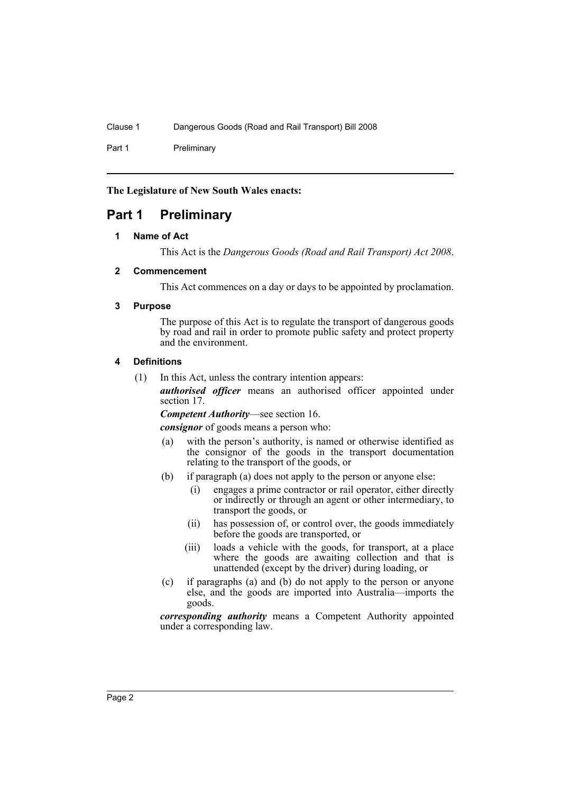Part 1 Preliminary

**The Legislature of New South Wales enacts:**

# <span id="page-5-1"></span><span id="page-5-0"></span>**Part 1 Preliminary**

#### **1 Name of Act**

This Act is the *Dangerous Goods (Road and Rail Transport) Act 2008*.

#### <span id="page-5-2"></span>**2 Commencement**

This Act commences on a day or days to be appointed by proclamation.

#### <span id="page-5-3"></span>**3 Purpose**

The purpose of this Act is to regulate the transport of dangerous goods by road and rail in order to promote public safety and protect property and the environment.

#### <span id="page-5-4"></span>**4 Definitions**

(1) In this Act, unless the contrary intention appears:

*authorised officer* means an authorised officer appointed under section 17.

*Competent Authority*—see section 16.

*consignor* of goods means a person who:

- (a) with the person's authority, is named or otherwise identified as the consignor of the goods in the transport documentation relating to the transport of the goods, or
- (b) if paragraph (a) does not apply to the person or anyone else:
	- (i) engages a prime contractor or rail operator, either directly or indirectly or through an agent or other intermediary, to transport the goods, or
	- (ii) has possession of, or control over, the goods immediately before the goods are transported, or
	- (iii) loads a vehicle with the goods, for transport, at a place where the goods are awaiting collection and that is unattended (except by the driver) during loading, or
- (c) if paragraphs (a) and (b) do not apply to the person or anyone else, and the goods are imported into Australia—imports the goods.

*corresponding authority* means a Competent Authority appointed under a corresponding law.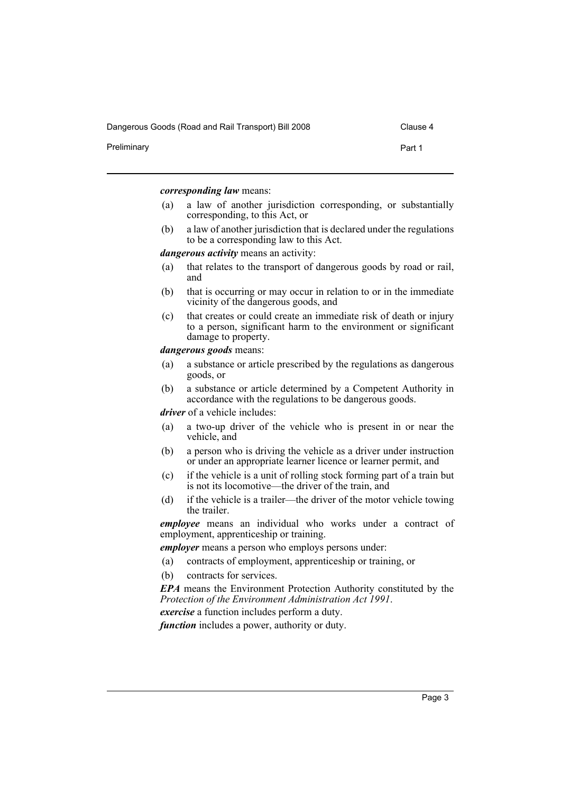Dangerous Goods (Road and Rail Transport) Bill 2008 Clause 4

Preliminary **Part 1** 

*corresponding law* means:

- (a) a law of another jurisdiction corresponding, or substantially corresponding, to this Act, or
- (b) a law of another jurisdiction that is declared under the regulations to be a corresponding law to this Act.

*dangerous activity* means an activity:

- (a) that relates to the transport of dangerous goods by road or rail, and
- (b) that is occurring or may occur in relation to or in the immediate vicinity of the dangerous goods, and
- (c) that creates or could create an immediate risk of death or injury to a person, significant harm to the environment or significant damage to property.

*dangerous goods* means:

- (a) a substance or article prescribed by the regulations as dangerous goods, or
- (b) a substance or article determined by a Competent Authority in accordance with the regulations to be dangerous goods.

*driver* of a vehicle includes:

- (a) a two-up driver of the vehicle who is present in or near the vehicle, and
- (b) a person who is driving the vehicle as a driver under instruction or under an appropriate learner licence or learner permit, and
- (c) if the vehicle is a unit of rolling stock forming part of a train but is not its locomotive—the driver of the train, and
- (d) if the vehicle is a trailer—the driver of the motor vehicle towing the trailer.

*employee* means an individual who works under a contract of employment, apprenticeship or training.

*employer* means a person who employs persons under:

- (a) contracts of employment, apprenticeship or training, or
- (b) contracts for services.

*EPA* means the Environment Protection Authority constituted by the *Protection of the Environment Administration Act 1991*.

*exercise* a function includes perform a duty.

*function* includes a power, authority or duty.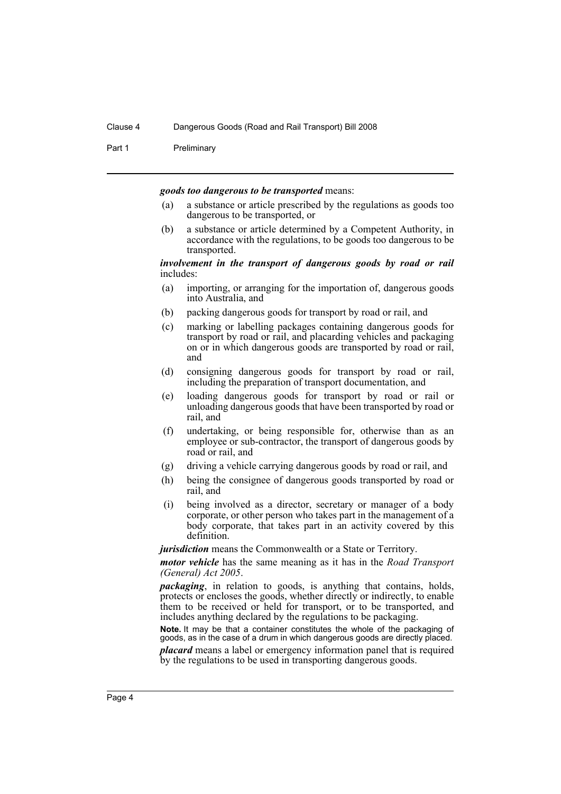Part 1 Preliminary

#### *goods too dangerous to be transported* means:

- (a) a substance or article prescribed by the regulations as goods too dangerous to be transported, or
- (b) a substance or article determined by a Competent Authority, in accordance with the regulations, to be goods too dangerous to be transported.

#### *involvement in the transport of dangerous goods by road or rail* includes:

- (a) importing, or arranging for the importation of, dangerous goods into Australia, and
- (b) packing dangerous goods for transport by road or rail, and
- (c) marking or labelling packages containing dangerous goods for transport by road or rail, and placarding vehicles and packaging on or in which dangerous goods are transported by road or rail, and
- (d) consigning dangerous goods for transport by road or rail, including the preparation of transport documentation, and
- (e) loading dangerous goods for transport by road or rail or unloading dangerous goods that have been transported by road or rail, and
- (f) undertaking, or being responsible for, otherwise than as an employee or sub-contractor, the transport of dangerous goods by road or rail, and
- (g) driving a vehicle carrying dangerous goods by road or rail, and
- (h) being the consignee of dangerous goods transported by road or rail, and
- (i) being involved as a director, secretary or manager of a body corporate, or other person who takes part in the management of a body corporate, that takes part in an activity covered by this definition.

*jurisdiction* means the Commonwealth or a State or Territory.

*motor vehicle* has the same meaning as it has in the *Road Transport (General) Act 2005*.

*packaging*, in relation to goods, is anything that contains, holds, protects or encloses the goods, whether directly or indirectly, to enable them to be received or held for transport, or to be transported, and includes anything declared by the regulations to be packaging.

**Note.** It may be that a container constitutes the whole of the packaging of goods, as in the case of a drum in which dangerous goods are directly placed.

*placard* means a label or emergency information panel that is required by the regulations to be used in transporting dangerous goods.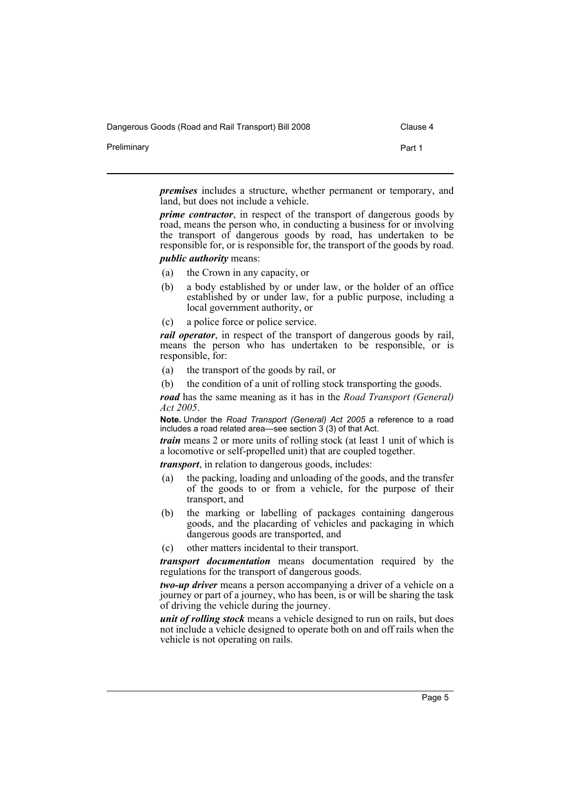Dangerous Goods (Road and Rail Transport) Bill 2008 Clause 4

| . .         |  |        |
|-------------|--|--------|
| Preliminary |  | Part 1 |
|             |  |        |

*premises* includes a structure, whether permanent or temporary, and land, but does not include a vehicle.

*prime contractor*, in respect of the transport of dangerous goods by road, means the person who, in conducting a business for or involving the transport of dangerous goods by road, has undertaken to be responsible for, or is responsible for, the transport of the goods by road.

- *public authority* means:
- (a) the Crown in any capacity, or
- (b) a body established by or under law, or the holder of an office established by or under law, for a public purpose, including a local government authority, or
- (c) a police force or police service.

*rail operator*, in respect of the transport of dangerous goods by rail, means the person who has undertaken to be responsible, or is responsible, for:

- (a) the transport of the goods by rail, or
- (b) the condition of a unit of rolling stock transporting the goods.

*road* has the same meaning as it has in the *Road Transport (General) Act 2005*.

**Note.** Under the *Road Transport (General) Act 2005* a reference to a road includes a road related area—see section 3 (3) of that Act.

*train* means 2 or more units of rolling stock (at least 1 unit of which is a locomotive or self-propelled unit) that are coupled together.

*transport*, in relation to dangerous goods, includes:

- (a) the packing, loading and unloading of the goods, and the transfer of the goods to or from a vehicle, for the purpose of their transport, and
- (b) the marking or labelling of packages containing dangerous goods, and the placarding of vehicles and packaging in which dangerous goods are transported, and
- (c) other matters incidental to their transport.

*transport documentation* means documentation required by the regulations for the transport of dangerous goods.

*two-up driver* means a person accompanying a driver of a vehicle on a journey or part of a journey, who has been, is or will be sharing the task of driving the vehicle during the journey.

*unit of rolling stock* means a vehicle designed to run on rails, but does not include a vehicle designed to operate both on and off rails when the vehicle is not operating on rails.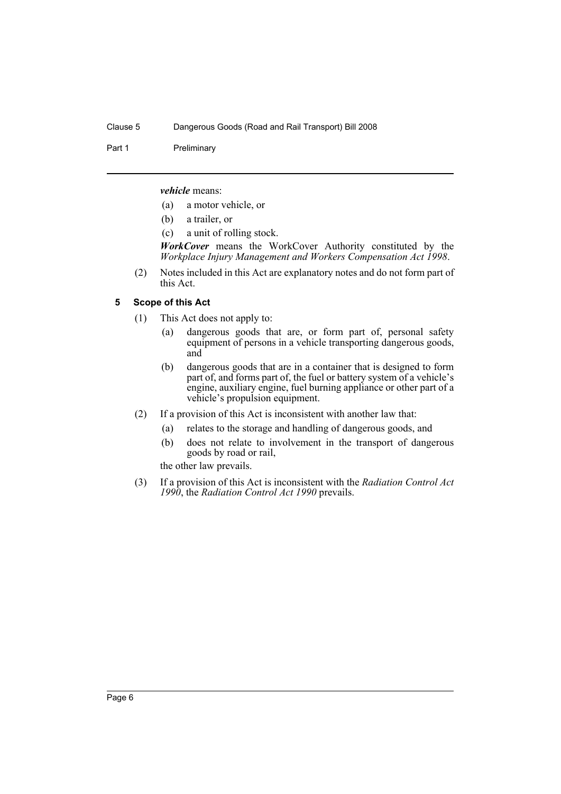Part 1 Preliminary

*vehicle* means:

- (a) a motor vehicle, or
- (b) a trailer, or
- (c) a unit of rolling stock.

*WorkCover* means the WorkCover Authority constituted by the *Workplace Injury Management and Workers Compensation Act 1998*.

(2) Notes included in this Act are explanatory notes and do not form part of this Act.

### <span id="page-9-0"></span>**5 Scope of this Act**

- (1) This Act does not apply to:
	- (a) dangerous goods that are, or form part of, personal safety equipment of persons in a vehicle transporting dangerous goods, and
	- (b) dangerous goods that are in a container that is designed to form part of, and forms part of, the fuel or battery system of a vehicle's engine, auxiliary engine, fuel burning appliance or other part of a vehicle's propulsion equipment.
- (2) If a provision of this Act is inconsistent with another law that:
	- (a) relates to the storage and handling of dangerous goods, and
	- (b) does not relate to involvement in the transport of dangerous goods by road or rail,

the other law prevails.

(3) If a provision of this Act is inconsistent with the *Radiation Control Act 1990*, the *Radiation Control Act 1990* prevails.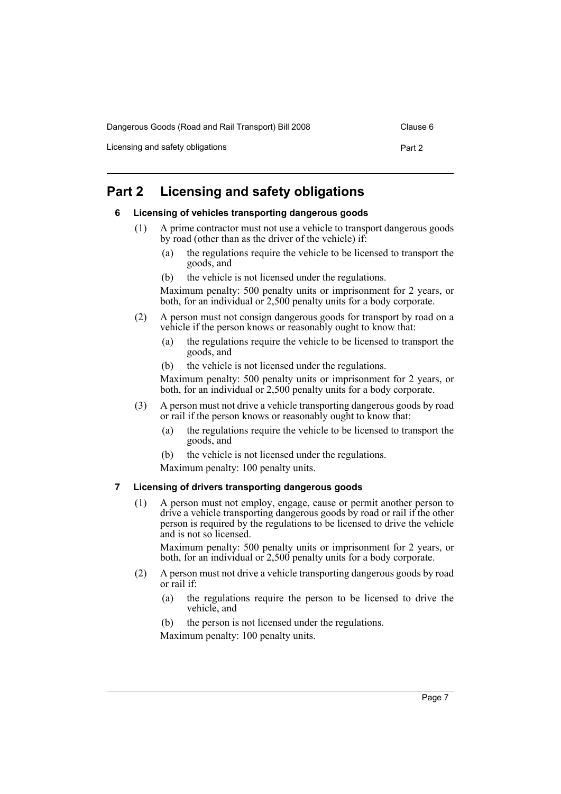Dangerous Goods (Road and Rail Transport) Bill 2008 Clause 6

Licensing and safety obligations **Part 2 Part 2** 

# <span id="page-10-1"></span><span id="page-10-0"></span>**Part 2 Licensing and safety obligations**

#### **6 Licensing of vehicles transporting dangerous goods**

- (1) A prime contractor must not use a vehicle to transport dangerous goods by road (other than as the driver of the vehicle) if:
	- (a) the regulations require the vehicle to be licensed to transport the goods, and
	- (b) the vehicle is not licensed under the regulations.

Maximum penalty: 500 penalty units or imprisonment for 2 years, or both, for an individual or 2,500 penalty units for a body corporate.

- (2) A person must not consign dangerous goods for transport by road on a vehicle if the person knows or reasonably ought to know that:
	- (a) the regulations require the vehicle to be licensed to transport the goods, and
	- (b) the vehicle is not licensed under the regulations.

Maximum penalty: 500 penalty units or imprisonment for 2 years, or both, for an individual or 2,500 penalty units for a body corporate.

- (3) A person must not drive a vehicle transporting dangerous goods by road or rail if the person knows or reasonably ought to know that:
	- (a) the regulations require the vehicle to be licensed to transport the goods, and
	- (b) the vehicle is not licensed under the regulations.
	- Maximum penalty: 100 penalty units.

#### <span id="page-10-2"></span>**7 Licensing of drivers transporting dangerous goods**

(1) A person must not employ, engage, cause or permit another person to drive a vehicle transporting dangerous goods by road or rail if the other person is required by the regulations to be licensed to drive the vehicle and is not so licensed.

Maximum penalty: 500 penalty units or imprisonment for 2 years, or both, for an individual or 2,500 penalty units for a body corporate.

- (2) A person must not drive a vehicle transporting dangerous goods by road or rail if:
	- (a) the regulations require the person to be licensed to drive the vehicle, and
	- (b) the person is not licensed under the regulations.

Maximum penalty: 100 penalty units.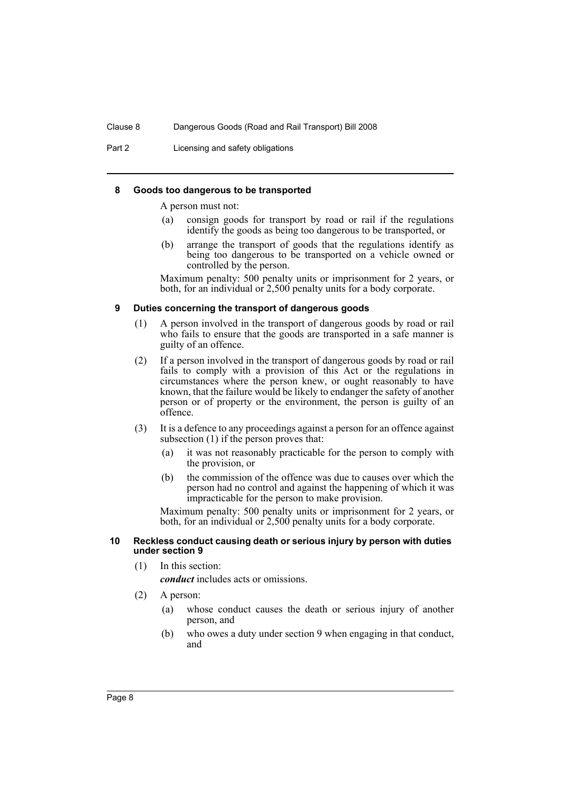Part 2 **Licensing and safety obligations** 

#### <span id="page-11-0"></span>**8 Goods too dangerous to be transported**

A person must not:

- (a) consign goods for transport by road or rail if the regulations identify the goods as being too dangerous to be transported, or
- (b) arrange the transport of goods that the regulations identify as being too dangerous to be transported on a vehicle owned or controlled by the person.

Maximum penalty: 500 penalty units or imprisonment for 2 years, or both, for an individual or 2,500 penalty units for a body corporate.

#### <span id="page-11-1"></span>**9 Duties concerning the transport of dangerous goods**

- (1) A person involved in the transport of dangerous goods by road or rail who fails to ensure that the goods are transported in a safe manner is guilty of an offence.
- (2) If a person involved in the transport of dangerous goods by road or rail fails to comply with a provision of this Act or the regulations in circumstances where the person knew, or ought reasonably to have known, that the failure would be likely to endanger the safety of another person or of property or the environment, the person is guilty of an offence.
- (3) It is a defence to any proceedings against a person for an offence against subsection (1) if the person proves that:
	- (a) it was not reasonably practicable for the person to comply with the provision, or
	- (b) the commission of the offence was due to causes over which the person had no control and against the happening of which it was impracticable for the person to make provision.

Maximum penalty: 500 penalty units or imprisonment for 2 years, or both, for an individual or 2,500 penalty units for a body corporate.

#### <span id="page-11-2"></span>**10 Reckless conduct causing death or serious injury by person with duties under section 9**

(1) In this section:

*conduct* includes acts or omissions.

- (2) A person:
	- (a) whose conduct causes the death or serious injury of another person, and
	- (b) who owes a duty under section 9 when engaging in that conduct, and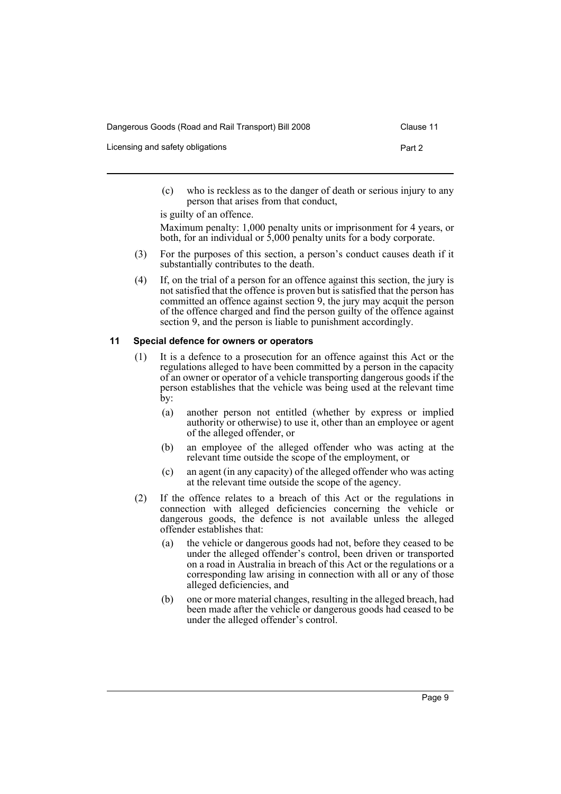| Dangerous Goods (Road and Rail Transport) Bill 2008 | Clause 11 |
|-----------------------------------------------------|-----------|
| Licensing and safety obligations                    | Part 2    |

(c) who is reckless as to the danger of death or serious injury to any person that arises from that conduct,

is guilty of an offence. Maximum penalty: 1,000 penalty units or imprisonment for 4 years, or both, for an individual or 5,000 penalty units for a body corporate.

- (3) For the purposes of this section, a person's conduct causes death if it substantially contributes to the death.
- (4) If, on the trial of a person for an offence against this section, the jury is not satisfied that the offence is proven but is satisfied that the person has committed an offence against section 9, the jury may acquit the person of the offence charged and find the person guilty of the offence against section 9, and the person is liable to punishment accordingly.

#### <span id="page-12-0"></span>**11 Special defence for owners or operators**

- (1) It is a defence to a prosecution for an offence against this Act or the regulations alleged to have been committed by a person in the capacity of an owner or operator of a vehicle transporting dangerous goods if the person establishes that the vehicle was being used at the relevant time by:
	- (a) another person not entitled (whether by express or implied authority or otherwise) to use it, other than an employee or agent of the alleged offender, or
	- (b) an employee of the alleged offender who was acting at the relevant time outside the scope of the employment, or
	- (c) an agent (in any capacity) of the alleged offender who was acting at the relevant time outside the scope of the agency.
- (2) If the offence relates to a breach of this Act or the regulations in connection with alleged deficiencies concerning the vehicle or dangerous goods, the defence is not available unless the alleged offender establishes that:
	- (a) the vehicle or dangerous goods had not, before they ceased to be under the alleged offender's control, been driven or transported on a road in Australia in breach of this Act or the regulations or a corresponding law arising in connection with all or any of those alleged deficiencies, and
	- (b) one or more material changes, resulting in the alleged breach, had been made after the vehicle or dangerous goods had ceased to be under the alleged offender's control.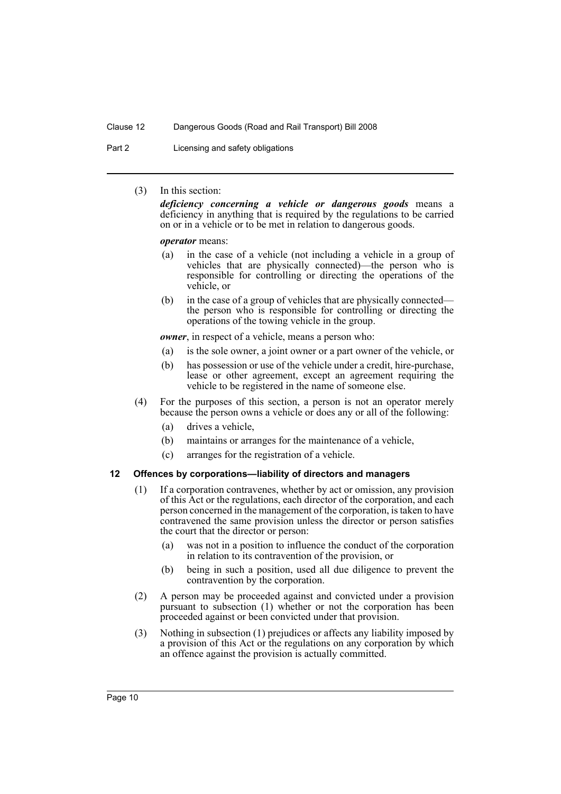Part 2 **Licensing and safety obligations** 

(3) In this section:

*deficiency concerning a vehicle or dangerous goods* means a deficiency in anything that is required by the regulations to be carried on or in a vehicle or to be met in relation to dangerous goods.

#### *operator* means:

- (a) in the case of a vehicle (not including a vehicle in a group of vehicles that are physically connected)—the person who is responsible for controlling or directing the operations of the vehicle, or
- (b) in the case of a group of vehicles that are physically connected the person who is responsible for controlling or directing the operations of the towing vehicle in the group.

*owner*, in respect of a vehicle, means a person who:

- (a) is the sole owner, a joint owner or a part owner of the vehicle, or
- (b) has possession or use of the vehicle under a credit, hire-purchase, lease or other agreement, except an agreement requiring the vehicle to be registered in the name of someone else.
- (4) For the purposes of this section, a person is not an operator merely because the person owns a vehicle or does any or all of the following:
	- (a) drives a vehicle,
	- (b) maintains or arranges for the maintenance of a vehicle,
	- (c) arranges for the registration of a vehicle.

#### <span id="page-13-0"></span>**12 Offences by corporations—liability of directors and managers**

- (1) If a corporation contravenes, whether by act or omission, any provision of this Act or the regulations, each director of the corporation, and each person concerned in the management of the corporation, is taken to have contravened the same provision unless the director or person satisfies the court that the director or person:
	- (a) was not in a position to influence the conduct of the corporation in relation to its contravention of the provision, or
	- (b) being in such a position, used all due diligence to prevent the contravention by the corporation.
- (2) A person may be proceeded against and convicted under a provision pursuant to subsection (1) whether or not the corporation has been proceeded against or been convicted under that provision.
- (3) Nothing in subsection (1) prejudices or affects any liability imposed by a provision of this Act or the regulations on any corporation by which an offence against the provision is actually committed.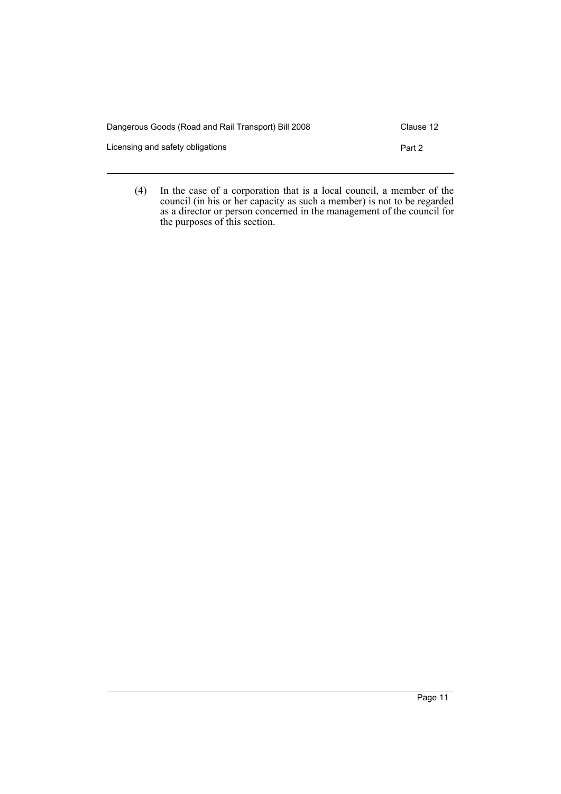| Dangerous Goods (Road and Rail Transport) Bill 2008 |        |  |
|-----------------------------------------------------|--------|--|
| Licensing and safety obligations                    | Part 2 |  |

(4) In the case of a corporation that is a local council, a member of the council (in his or her capacity as such a member) is not to be regarded as a director or person concerned in the management of the council for the purposes of this section.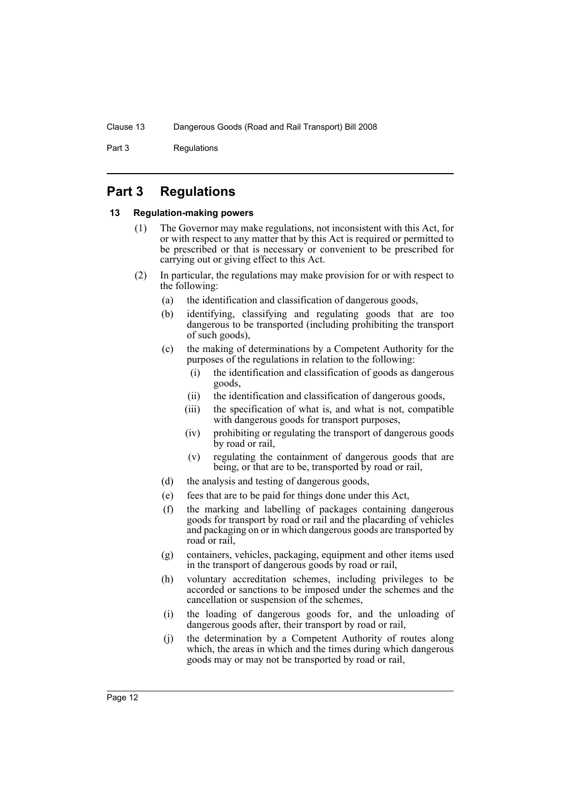Part 3 Regulations

# <span id="page-15-0"></span>**Part 3 Regulations**

#### <span id="page-15-1"></span>**13 Regulation-making powers**

- (1) The Governor may make regulations, not inconsistent with this Act, for or with respect to any matter that by this Act is required or permitted to be prescribed or that is necessary or convenient to be prescribed for carrying out or giving effect to this Act.
- (2) In particular, the regulations may make provision for or with respect to the following:
	- (a) the identification and classification of dangerous goods,
	- (b) identifying, classifying and regulating goods that are too dangerous to be transported (including prohibiting the transport of such goods),
	- (c) the making of determinations by a Competent Authority for the purposes of the regulations in relation to the following:
		- (i) the identification and classification of goods as dangerous goods,
		- (ii) the identification and classification of dangerous goods,
		- (iii) the specification of what is, and what is not, compatible with dangerous goods for transport purposes,
		- (iv) prohibiting or regulating the transport of dangerous goods by road or rail,
		- (v) regulating the containment of dangerous goods that are being, or that are to be, transported by road or rail,
	- (d) the analysis and testing of dangerous goods,
	- (e) fees that are to be paid for things done under this Act,
	- (f) the marking and labelling of packages containing dangerous goods for transport by road or rail and the placarding of vehicles and packaging on or in which dangerous goods are transported by road or rail,
	- (g) containers, vehicles, packaging, equipment and other items used in the transport of dangerous goods by road or rail,
	- (h) voluntary accreditation schemes, including privileges to be accorded or sanctions to be imposed under the schemes and the cancellation or suspension of the schemes,
	- (i) the loading of dangerous goods for, and the unloading of dangerous goods after, their transport by road or rail,
	- (j) the determination by a Competent Authority of routes along which, the areas in which and the times during which dangerous goods may or may not be transported by road or rail,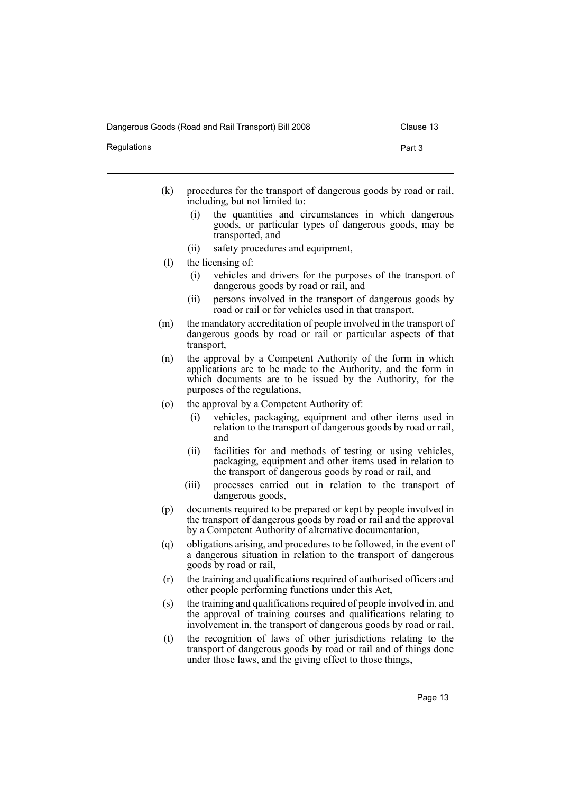Dangerous Goods (Road and Rail Transport) Bill 2008 Clause 13

Regulations **Part 3** 

- (k) procedures for the transport of dangerous goods by road or rail, including, but not limited to:
	- (i) the quantities and circumstances in which dangerous goods, or particular types of dangerous goods, may be transported, and
	- (ii) safety procedures and equipment,
- (l) the licensing of:
	- (i) vehicles and drivers for the purposes of the transport of dangerous goods by road or rail, and
	- (ii) persons involved in the transport of dangerous goods by road or rail or for vehicles used in that transport,
- (m) the mandatory accreditation of people involved in the transport of dangerous goods by road or rail or particular aspects of that transport,
- (n) the approval by a Competent Authority of the form in which applications are to be made to the Authority, and the form in which documents are to be issued by the Authority, for the purposes of the regulations,
- (o) the approval by a Competent Authority of:
	- (i) vehicles, packaging, equipment and other items used in relation to the transport of dangerous goods by road or rail, and
	- (ii) facilities for and methods of testing or using vehicles, packaging, equipment and other items used in relation to the transport of dangerous goods by road or rail, and
	- (iii) processes carried out in relation to the transport of dangerous goods,
- (p) documents required to be prepared or kept by people involved in the transport of dangerous goods by road or rail and the approval by a Competent Authority of alternative documentation,
- (q) obligations arising, and procedures to be followed, in the event of a dangerous situation in relation to the transport of dangerous goods by road or rail,
- (r) the training and qualifications required of authorised officers and other people performing functions under this Act,
- (s) the training and qualifications required of people involved in, and the approval of training courses and qualifications relating to involvement in, the transport of dangerous goods by road or rail,
- (t) the recognition of laws of other jurisdictions relating to the transport of dangerous goods by road or rail and of things done under those laws, and the giving effect to those things,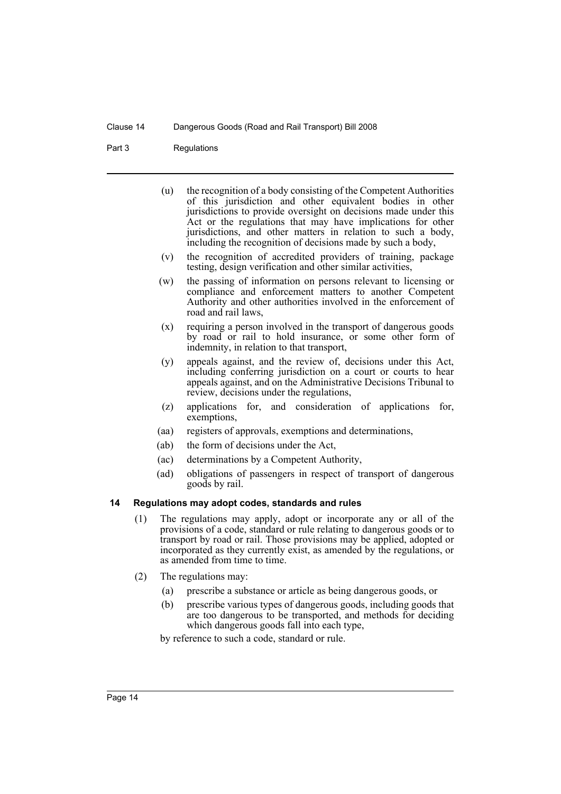#### Part 3 Regulations

- (u) the recognition of a body consisting of the Competent Authorities of this jurisdiction and other equivalent bodies in other jurisdictions to provide oversight on decisions made under this Act or the regulations that may have implications for other jurisdictions, and other matters in relation to such a body, including the recognition of decisions made by such a body,
- (v) the recognition of accredited providers of training, package testing, design verification and other similar activities,
- (w) the passing of information on persons relevant to licensing or compliance and enforcement matters to another Competent Authority and other authorities involved in the enforcement of road and rail laws,
- (x) requiring a person involved in the transport of dangerous goods by road or rail to hold insurance, or some other form of indemnity, in relation to that transport,
- (y) appeals against, and the review of, decisions under this Act, including conferring jurisdiction on a court or courts to hear appeals against, and on the Administrative Decisions Tribunal to review, decisions under the regulations,
- (z) applications for, and consideration of applications for, exemptions,
- (aa) registers of approvals, exemptions and determinations,
- (ab) the form of decisions under the Act,
- (ac) determinations by a Competent Authority,
- (ad) obligations of passengers in respect of transport of dangerous goods by rail.

#### <span id="page-17-0"></span>**14 Regulations may adopt codes, standards and rules**

- (1) The regulations may apply, adopt or incorporate any or all of the provisions of a code, standard or rule relating to dangerous goods or to transport by road or rail. Those provisions may be applied, adopted or incorporated as they currently exist, as amended by the regulations, or as amended from time to time.
- (2) The regulations may:
	- (a) prescribe a substance or article as being dangerous goods, or
	- (b) prescribe various types of dangerous goods, including goods that are too dangerous to be transported, and methods for deciding which dangerous goods fall into each type,

by reference to such a code, standard or rule.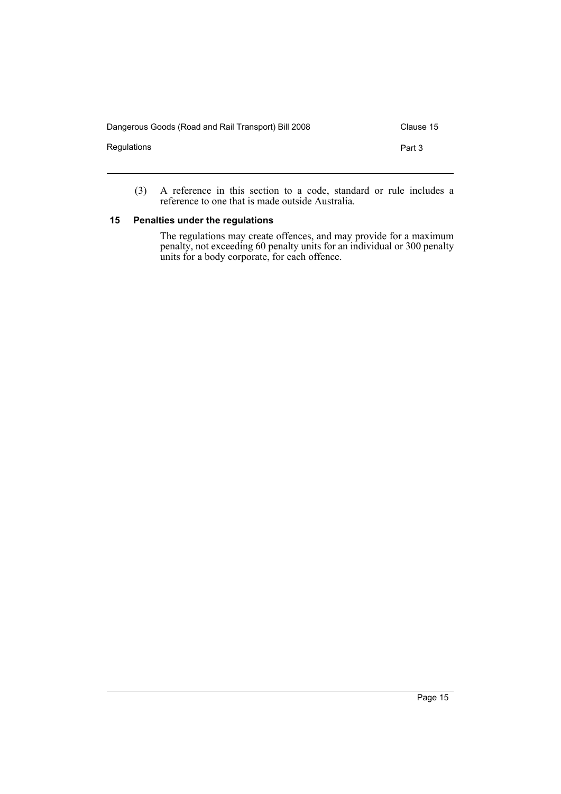| Dangerous Goods (Road and Rail Transport) Bill 2008 | Clause 15 |
|-----------------------------------------------------|-----------|
| Regulations                                         | Part 3    |
|                                                     |           |

(3) A reference in this section to a code, standard or rule includes a reference to one that is made outside Australia.

# <span id="page-18-0"></span>**15 Penalties under the regulations**

The regulations may create offences, and may provide for a maximum penalty, not exceeding 60 penalty units for an individual or 300 penalty units for a body corporate, for each offence.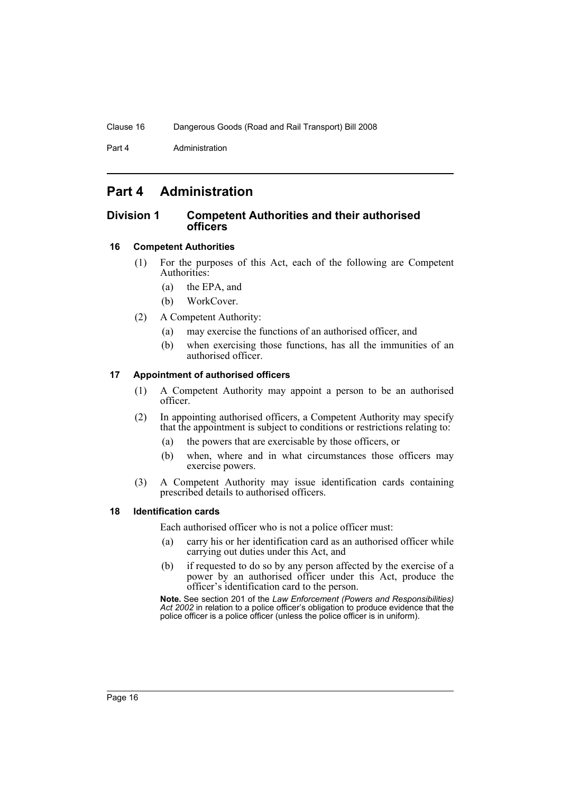Part 4 **Administration** 

# <span id="page-19-0"></span>**Part 4 Administration**

### <span id="page-19-1"></span>**Division 1 Competent Authorities and their authorised officers**

#### <span id="page-19-2"></span>**16 Competent Authorities**

- (1) For the purposes of this Act, each of the following are Competent Authorities:
	- (a) the EPA, and
	- (b) WorkCover.
- (2) A Competent Authority:
	- (a) may exercise the functions of an authorised officer, and
	- (b) when exercising those functions, has all the immunities of an authorised officer.

#### <span id="page-19-3"></span>**17 Appointment of authorised officers**

- (1) A Competent Authority may appoint a person to be an authorised officer.
- (2) In appointing authorised officers, a Competent Authority may specify that the appointment is subject to conditions or restrictions relating to:
	- (a) the powers that are exercisable by those officers, or
	- (b) when, where and in what circumstances those officers may exercise powers.
- (3) A Competent Authority may issue identification cards containing prescribed details to authorised officers.

#### <span id="page-19-4"></span>**18 Identification cards**

Each authorised officer who is not a police officer must:

- (a) carry his or her identification card as an authorised officer while carrying out duties under this Act, and
- (b) if requested to do so by any person affected by the exercise of a power by an authorised officer under this Act, produce the officer's identification card to the person.

**Note.** See section 201 of the *Law Enforcement (Powers and Responsibilities) Act 2002* in relation to a police officer's obligation to produce evidence that the police officer is a police officer (unless the police officer is in uniform).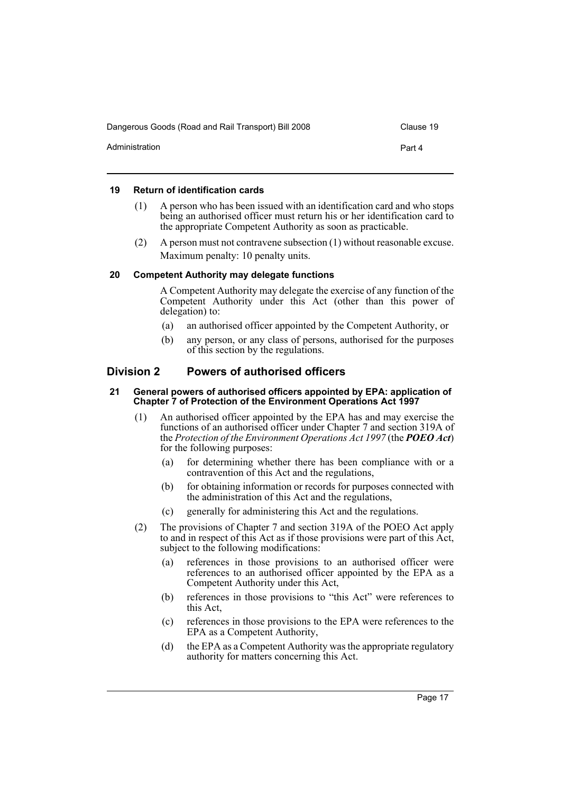| Dangerous Goods (Road and Rail Transport) Bill 2008 | Clause 19 |
|-----------------------------------------------------|-----------|
| Administration                                      | Part 4    |

#### <span id="page-20-0"></span>**19 Return of identification cards**

- (1) A person who has been issued with an identification card and who stops being an authorised officer must return his or her identification card to the appropriate Competent Authority as soon as practicable.
- (2) A person must not contravene subsection (1) without reasonable excuse. Maximum penalty: 10 penalty units.

#### <span id="page-20-1"></span>**20 Competent Authority may delegate functions**

A Competent Authority may delegate the exercise of any function of the Competent Authority under this Act (other than this power of delegation) to:

- (a) an authorised officer appointed by the Competent Authority, or
- (b) any person, or any class of persons, authorised for the purposes of this section by the regulations.

### <span id="page-20-2"></span>**Division 2 Powers of authorised officers**

#### <span id="page-20-3"></span>**21 General powers of authorised officers appointed by EPA: application of Chapter 7 of Protection of the Environment Operations Act 1997**

- (1) An authorised officer appointed by the EPA has and may exercise the functions of an authorised officer under Chapter 7 and section 319A of the *Protection of the Environment Operations Act 1997* (the *POEO Act*) for the following purposes:
	- (a) for determining whether there has been compliance with or a contravention of this Act and the regulations,
	- (b) for obtaining information or records for purposes connected with the administration of this Act and the regulations,
	- (c) generally for administering this Act and the regulations.
- (2) The provisions of Chapter 7 and section 319A of the POEO Act apply to and in respect of this Act as if those provisions were part of this Act, subject to the following modifications:
	- (a) references in those provisions to an authorised officer were references to an authorised officer appointed by the EPA as a Competent Authority under this Act,
	- (b) references in those provisions to "this Act" were references to this Act,
	- (c) references in those provisions to the EPA were references to the EPA as a Competent Authority,
	- (d) the EPA as a Competent Authority was the appropriate regulatory authority for matters concerning this Act.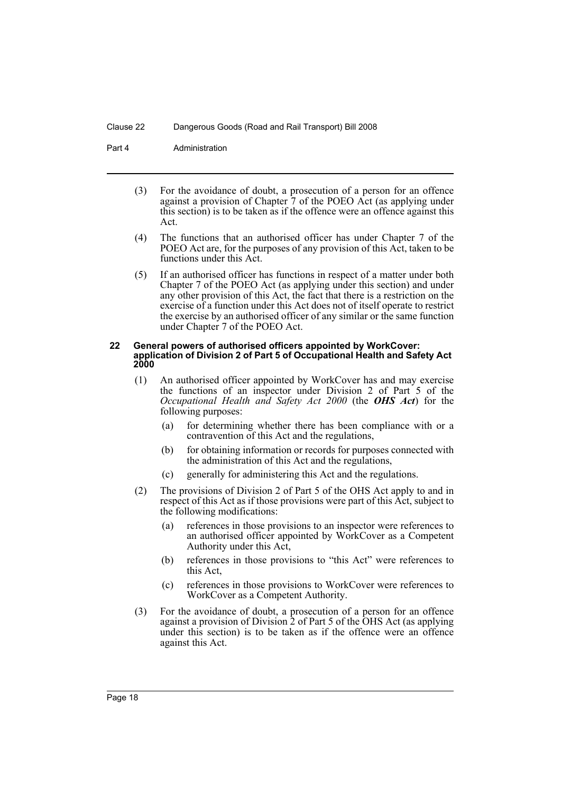Part 4 **Administration** 

- (3) For the avoidance of doubt, a prosecution of a person for an offence against a provision of Chapter 7 of the POEO Act (as applying under this section) is to be taken as if the offence were an offence against this Act.
- (4) The functions that an authorised officer has under Chapter 7 of the POEO Act are, for the purposes of any provision of this Act, taken to be functions under this Act.
- (5) If an authorised officer has functions in respect of a matter under both Chapter 7 of the POEO Act (as applying under this section) and under any other provision of this Act, the fact that there is a restriction on the exercise of a function under this Act does not of itself operate to restrict the exercise by an authorised officer of any similar or the same function under Chapter 7 of the POEO Act.

#### <span id="page-21-0"></span>**22 General powers of authorised officers appointed by WorkCover: application of Division 2 of Part 5 of Occupational Health and Safety Act 2000**

- (1) An authorised officer appointed by WorkCover has and may exercise the functions of an inspector under Division 2 of Part 5 of the *Occupational Health and Safety Act 2000* (the *OHS Act*) for the following purposes:
	- (a) for determining whether there has been compliance with or a contravention of this Act and the regulations,
	- (b) for obtaining information or records for purposes connected with the administration of this Act and the regulations,
	- (c) generally for administering this Act and the regulations.
- (2) The provisions of Division 2 of Part 5 of the OHS Act apply to and in respect of this Act as if those provisions were part of this Act, subject to the following modifications:
	- (a) references in those provisions to an inspector were references to an authorised officer appointed by WorkCover as a Competent Authority under this Act,
	- (b) references in those provisions to "this Act" were references to this Act,
	- (c) references in those provisions to WorkCover were references to WorkCover as a Competent Authority.
- (3) For the avoidance of doubt, a prosecution of a person for an offence against a provision of Division 2 of Part 5 of the OHS Act (as applying under this section) is to be taken as if the offence were an offence against this Act.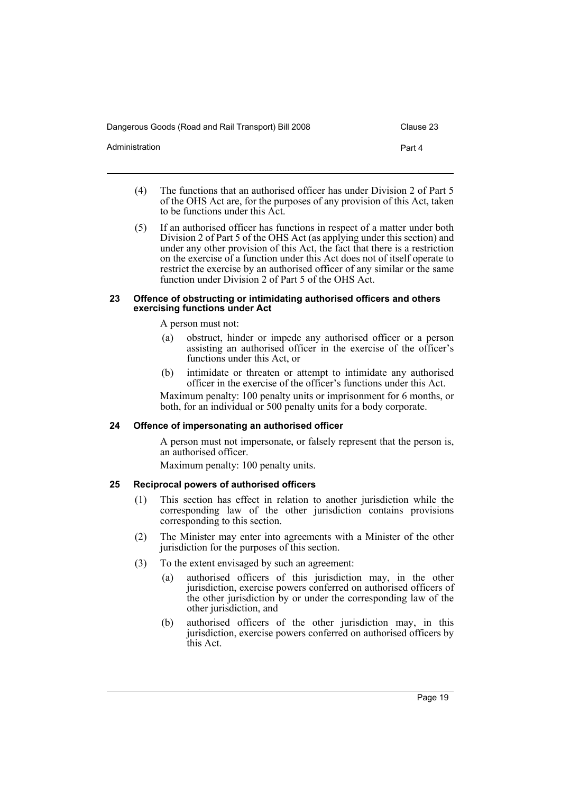| Dangerous Goods (Road and Rail Transport) Bill 2008 | Clause 23 |
|-----------------------------------------------------|-----------|
| Administration                                      | Part 4    |
|                                                     |           |

- (4) The functions that an authorised officer has under Division 2 of Part 5 of the OHS Act are, for the purposes of any provision of this Act, taken to be functions under this Act.
- (5) If an authorised officer has functions in respect of a matter under both Division 2 of Part 5 of the OHS Act (as applying under this section) and under any other provision of this Act, the fact that there is a restriction on the exercise of a function under this Act does not of itself operate to restrict the exercise by an authorised officer of any similar or the same function under Division 2 of Part 5 of the OHS Act.

#### <span id="page-22-0"></span>**23 Offence of obstructing or intimidating authorised officers and others exercising functions under Act**

A person must not:

- (a) obstruct, hinder or impede any authorised officer or a person assisting an authorised officer in the exercise of the officer's functions under this Act, or
- (b) intimidate or threaten or attempt to intimidate any authorised officer in the exercise of the officer's functions under this Act.

Maximum penalty: 100 penalty units or imprisonment for 6 months, or both, for an individual or 500 penalty units for a body corporate.

# <span id="page-22-1"></span>**24 Offence of impersonating an authorised officer**

A person must not impersonate, or falsely represent that the person is, an authorised officer.

Maximum penalty: 100 penalty units.

# <span id="page-22-2"></span>**25 Reciprocal powers of authorised officers**

- (1) This section has effect in relation to another jurisdiction while the corresponding law of the other jurisdiction contains provisions corresponding to this section.
- (2) The Minister may enter into agreements with a Minister of the other jurisdiction for the purposes of this section.
- (3) To the extent envisaged by such an agreement:
	- (a) authorised officers of this jurisdiction may, in the other jurisdiction, exercise powers conferred on authorised officers of the other jurisdiction by or under the corresponding law of the other jurisdiction, and
	- (b) authorised officers of the other jurisdiction may, in this jurisdiction, exercise powers conferred on authorised officers by this Act.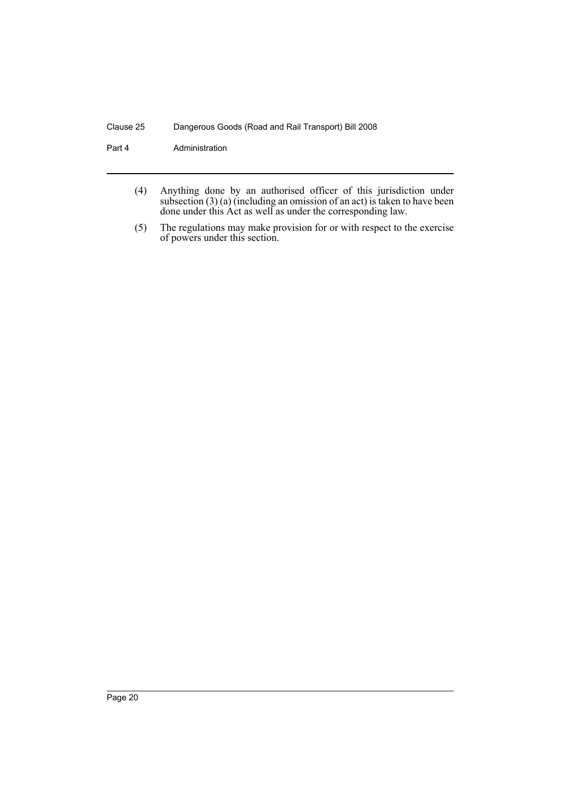Part 4 **Administration** 

- (4) Anything done by an authorised officer of this jurisdiction under subsection (3) (a) (including an omission of an act) is taken to have been done under this Act as well as under the corresponding law.
- (5) The regulations may make provision for or with respect to the exercise of powers under this section.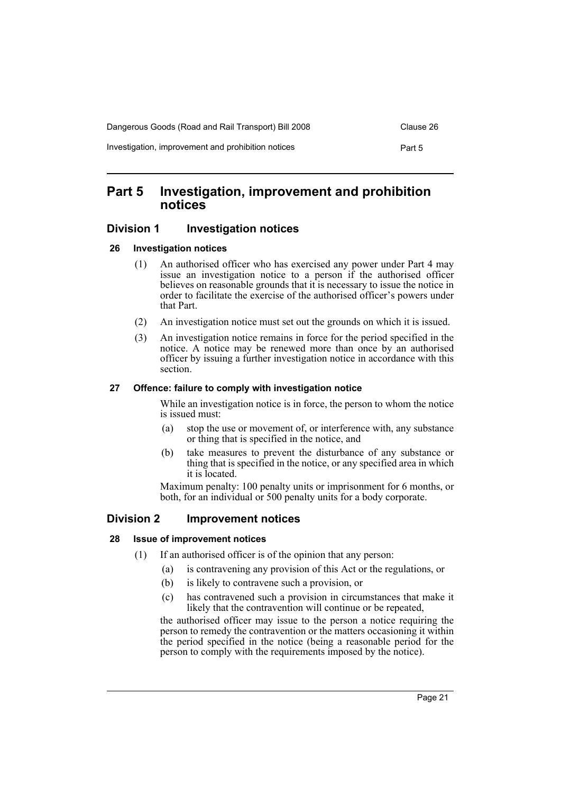| Dangerous Goods (Road and Rail Transport) Bill 2008 | Clause 26 |
|-----------------------------------------------------|-----------|
| Investigation, improvement and prohibition notices  | Part 5    |

# <span id="page-24-0"></span>**Part 5 Investigation, improvement and prohibition notices**

# <span id="page-24-1"></span>**Division 1 Investigation notices**

#### <span id="page-24-2"></span>**26 Investigation notices**

- (1) An authorised officer who has exercised any power under Part 4 may issue an investigation notice to a person if the authorised officer believes on reasonable grounds that it is necessary to issue the notice in order to facilitate the exercise of the authorised officer's powers under that Part.
- (2) An investigation notice must set out the grounds on which it is issued.
- (3) An investigation notice remains in force for the period specified in the notice. A notice may be renewed more than once by an authorised officer by issuing a further investigation notice in accordance with this section.

#### <span id="page-24-3"></span>**27 Offence: failure to comply with investigation notice**

While an investigation notice is in force, the person to whom the notice is issued must:

- (a) stop the use or movement of, or interference with, any substance or thing that is specified in the notice, and
- (b) take measures to prevent the disturbance of any substance or thing that is specified in the notice, or any specified area in which it is located.

Maximum penalty: 100 penalty units or imprisonment for 6 months, or both, for an individual or 500 penalty units for a body corporate.

# <span id="page-24-4"></span>**Division 2 Improvement notices**

#### <span id="page-24-5"></span>**28 Issue of improvement notices**

- (1) If an authorised officer is of the opinion that any person:
	- (a) is contravening any provision of this Act or the regulations, or
	- (b) is likely to contravene such a provision, or
	- (c) has contravened such a provision in circumstances that make it likely that the contravention will continue or be repeated,

the authorised officer may issue to the person a notice requiring the person to remedy the contravention or the matters occasioning it within the period specified in the notice (being a reasonable period for the person to comply with the requirements imposed by the notice).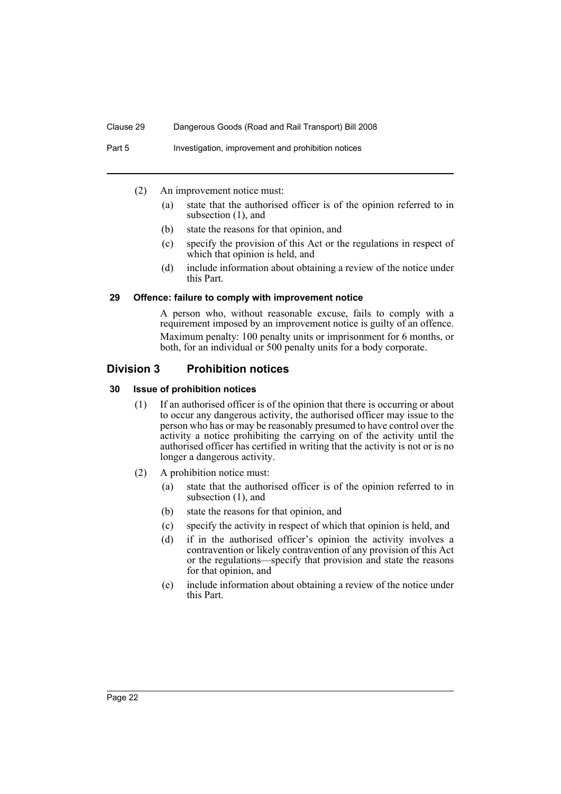- (2) An improvement notice must:
	- (a) state that the authorised officer is of the opinion referred to in subsection (1), and
	- (b) state the reasons for that opinion, and
	- (c) specify the provision of this Act or the regulations in respect of which that opinion is held, and
	- (d) include information about obtaining a review of the notice under this Part.

#### <span id="page-25-0"></span>**29 Offence: failure to comply with improvement notice**

A person who, without reasonable excuse, fails to comply with a requirement imposed by an improvement notice is guilty of an offence. Maximum penalty: 100 penalty units or imprisonment for 6 months, or both, for an individual or 500 penalty units for a body corporate.

### <span id="page-25-1"></span>**Division 3 Prohibition notices**

#### <span id="page-25-2"></span>**30 Issue of prohibition notices**

- (1) If an authorised officer is of the opinion that there is occurring or about to occur any dangerous activity, the authorised officer may issue to the person who has or may be reasonably presumed to have control over the activity a notice prohibiting the carrying on of the activity until the authorised officer has certified in writing that the activity is not or is no longer a dangerous activity.
- (2) A prohibition notice must:
	- (a) state that the authorised officer is of the opinion referred to in subsection (1), and
	- (b) state the reasons for that opinion, and
	- (c) specify the activity in respect of which that opinion is held, and
	- (d) if in the authorised officer's opinion the activity involves a contravention or likely contravention of any provision of this Act or the regulations—specify that provision and state the reasons for that opinion, and
	- (e) include information about obtaining a review of the notice under this Part.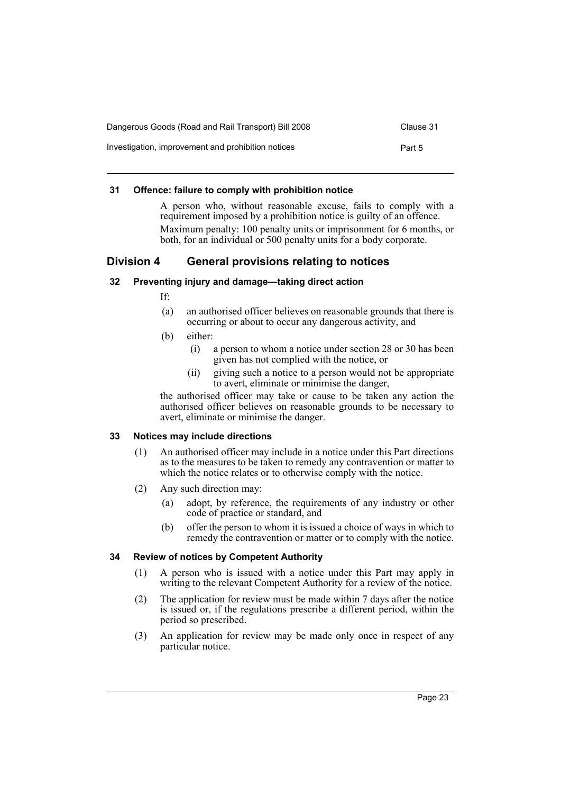| Dangerous Goods (Road and Rail Transport) Bill 2008 |        |  |
|-----------------------------------------------------|--------|--|
| Investigation, improvement and prohibition notices  | Part 5 |  |

#### <span id="page-26-0"></span>**31 Offence: failure to comply with prohibition notice**

A person who, without reasonable excuse, fails to comply with a requirement imposed by a prohibition notice is guilty of an offence. Maximum penalty: 100 penalty units or imprisonment for 6 months, or both, for an individual or 500 penalty units for a body corporate.

# <span id="page-26-1"></span>**Division 4 General provisions relating to notices**

#### <span id="page-26-2"></span>**32 Preventing injury and damage—taking direct action**

If:

- (a) an authorised officer believes on reasonable grounds that there is occurring or about to occur any dangerous activity, and
- (b) either:
	- (i) a person to whom a notice under section 28 or 30 has been given has not complied with the notice, or
	- (ii) giving such a notice to a person would not be appropriate to avert, eliminate or minimise the danger,

the authorised officer may take or cause to be taken any action the authorised officer believes on reasonable grounds to be necessary to avert, eliminate or minimise the danger.

#### <span id="page-26-3"></span>**33 Notices may include directions**

- (1) An authorised officer may include in a notice under this Part directions as to the measures to be taken to remedy any contravention or matter to which the notice relates or to otherwise comply with the notice.
- (2) Any such direction may:
	- (a) adopt, by reference, the requirements of any industry or other code of practice or standard, and
	- (b) offer the person to whom it is issued a choice of ways in which to remedy the contravention or matter or to comply with the notice.

#### <span id="page-26-4"></span>**34 Review of notices by Competent Authority**

- (1) A person who is issued with a notice under this Part may apply in writing to the relevant Competent Authority for a review of the notice.
- (2) The application for review must be made within 7 days after the notice is issued or, if the regulations prescribe a different period, within the period so prescribed.
- (3) An application for review may be made only once in respect of any particular notice.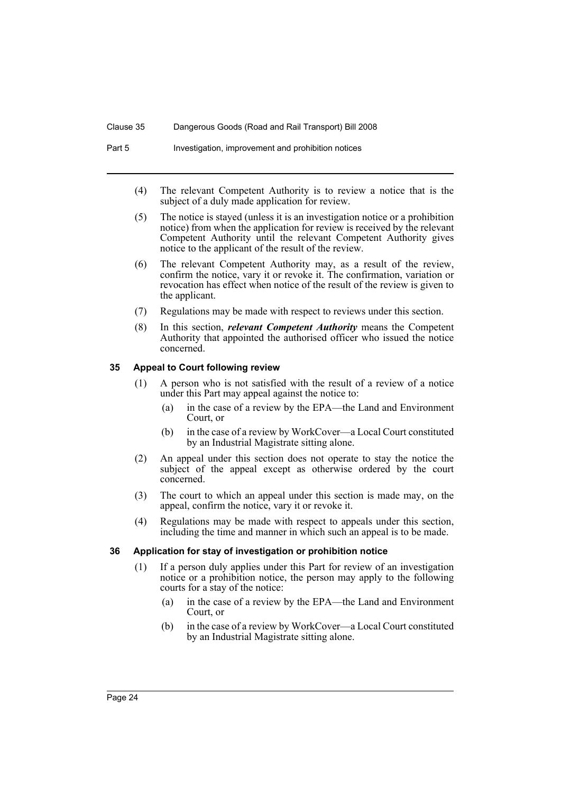Part 5 Investigation, improvement and prohibition notices

- (4) The relevant Competent Authority is to review a notice that is the subject of a duly made application for review.
- (5) The notice is stayed (unless it is an investigation notice or a prohibition notice) from when the application for review is received by the relevant Competent Authority until the relevant Competent Authority gives notice to the applicant of the result of the review.
- (6) The relevant Competent Authority may, as a result of the review, confirm the notice, vary it or revoke it. The confirmation, variation or revocation has effect when notice of the result of the review is given to the applicant.
- (7) Regulations may be made with respect to reviews under this section.
- (8) In this section, *relevant Competent Authority* means the Competent Authority that appointed the authorised officer who issued the notice concerned.

#### <span id="page-27-0"></span>**35 Appeal to Court following review**

- (1) A person who is not satisfied with the result of a review of a notice under this Part may appeal against the notice to:
	- (a) in the case of a review by the EPA—the Land and Environment Court, or
	- (b) in the case of a review by WorkCover—a Local Court constituted by an Industrial Magistrate sitting alone.
- (2) An appeal under this section does not operate to stay the notice the subject of the appeal except as otherwise ordered by the court concerned.
- (3) The court to which an appeal under this section is made may, on the appeal, confirm the notice, vary it or revoke it.
- (4) Regulations may be made with respect to appeals under this section, including the time and manner in which such an appeal is to be made.

#### <span id="page-27-1"></span>**36 Application for stay of investigation or prohibition notice**

- (1) If a person duly applies under this Part for review of an investigation notice or a prohibition notice, the person may apply to the following courts for a stay of the notice:
	- (a) in the case of a review by the EPA—the Land and Environment Court, or
	- (b) in the case of a review by WorkCover—a Local Court constituted by an Industrial Magistrate sitting alone.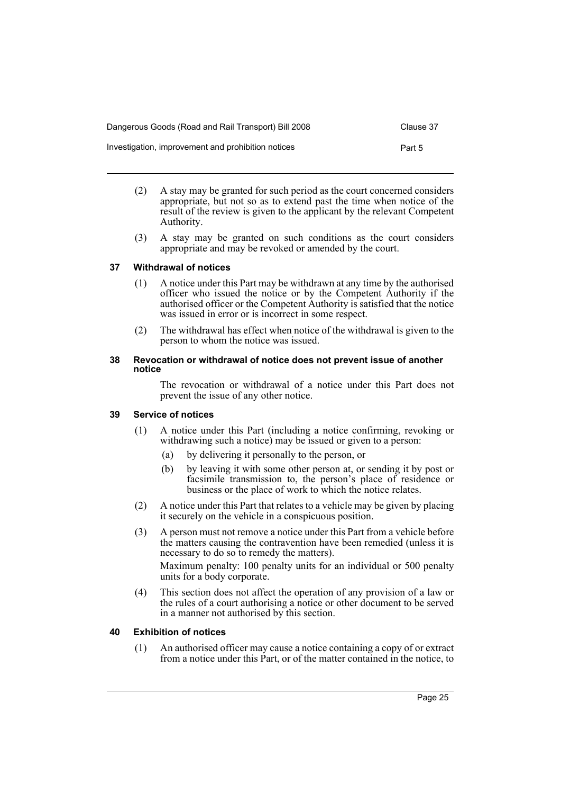| Dangerous Goods (Road and Rail Transport) Bill 2008 | Clause 37 |
|-----------------------------------------------------|-----------|
| Investigation, improvement and prohibition notices  | Part 5    |

- (2) A stay may be granted for such period as the court concerned considers appropriate, but not so as to extend past the time when notice of the result of the review is given to the applicant by the relevant Competent Authority.
- (3) A stay may be granted on such conditions as the court considers appropriate and may be revoked or amended by the court.

### <span id="page-28-0"></span>**37 Withdrawal of notices**

- (1) A notice under this Part may be withdrawn at any time by the authorised officer who issued the notice or by the Competent Authority if the authorised officer or the Competent Authority is satisfied that the notice was issued in error or is incorrect in some respect.
- (2) The withdrawal has effect when notice of the withdrawal is given to the person to whom the notice was issued.

#### <span id="page-28-1"></span>**38 Revocation or withdrawal of notice does not prevent issue of another notice**

The revocation or withdrawal of a notice under this Part does not prevent the issue of any other notice.

#### <span id="page-28-2"></span>**39 Service of notices**

- (1) A notice under this Part (including a notice confirming, revoking or withdrawing such a notice) may be issued or given to a person:
	- (a) by delivering it personally to the person, or
	- (b) by leaving it with some other person at, or sending it by post or facsimile transmission to, the person's place of residence or business or the place of work to which the notice relates.
- (2) A notice under this Part that relates to a vehicle may be given by placing it securely on the vehicle in a conspicuous position.
- (3) A person must not remove a notice under this Part from a vehicle before the matters causing the contravention have been remedied (unless it is necessary to do so to remedy the matters). Maximum penalty: 100 penalty units for an individual or 500 penalty units for a body corporate.
- (4) This section does not affect the operation of any provision of a law or the rules of a court authorising a notice or other document to be served in a manner not authorised by this section.

# <span id="page-28-3"></span>**40 Exhibition of notices**

(1) An authorised officer may cause a notice containing a copy of or extract from a notice under this Part, or of the matter contained in the notice, to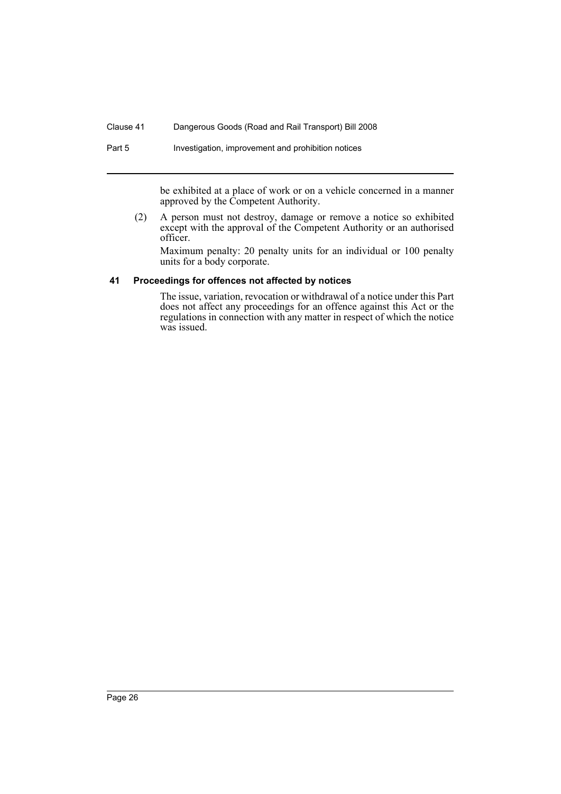Part 5 Investigation, improvement and prohibition notices

be exhibited at a place of work or on a vehicle concerned in a manner approved by the Competent Authority.

(2) A person must not destroy, damage or remove a notice so exhibited except with the approval of the Competent Authority or an authorised officer.

Maximum penalty: 20 penalty units for an individual or 100 penalty units for a body corporate.

#### <span id="page-29-0"></span>**41 Proceedings for offences not affected by notices**

The issue, variation, revocation or withdrawal of a notice under this Part does not affect any proceedings for an offence against this Act or the regulations in connection with any matter in respect of which the notice was issued.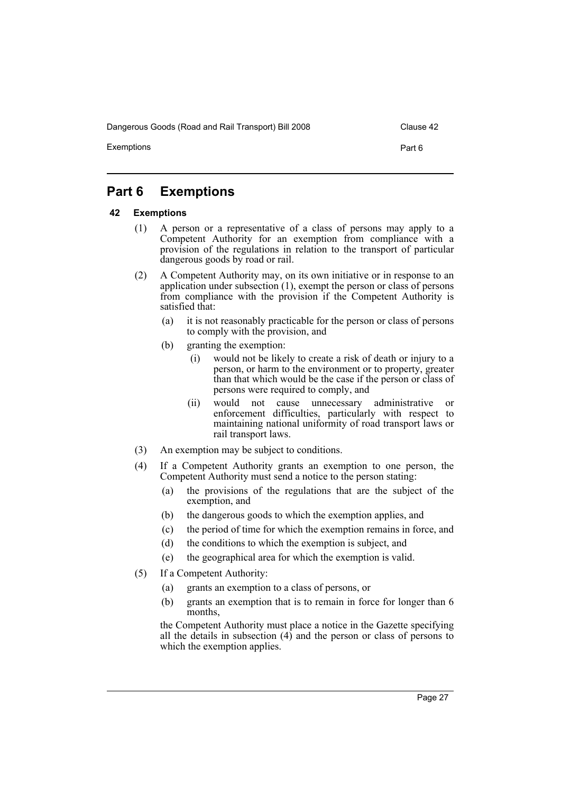Dangerous Goods (Road and Rail Transport) Bill 2008 Clause 42

Exemptions Part 6

# <span id="page-30-0"></span>**Part 6 Exemptions**

#### <span id="page-30-1"></span>**42 Exemptions**

- (1) A person or a representative of a class of persons may apply to a Competent Authority for an exemption from compliance with a provision of the regulations in relation to the transport of particular dangerous goods by road or rail.
- (2) A Competent Authority may, on its own initiative or in response to an application under subsection (1), exempt the person or class of persons from compliance with the provision if the Competent Authority is satisfied that:
	- (a) it is not reasonably practicable for the person or class of persons to comply with the provision, and
	- (b) granting the exemption:
		- (i) would not be likely to create a risk of death or injury to a person, or harm to the environment or to property, greater than that which would be the case if the person or class of persons were required to comply, and
		- (ii) would not cause unnecessary administrative or enforcement difficulties, particularly with respect to maintaining national uniformity of road transport laws or rail transport laws.
- (3) An exemption may be subject to conditions.
- (4) If a Competent Authority grants an exemption to one person, the Competent Authority must send a notice to the person stating:
	- (a) the provisions of the regulations that are the subject of the exemption, and
	- (b) the dangerous goods to which the exemption applies, and
	- (c) the period of time for which the exemption remains in force, and
	- (d) the conditions to which the exemption is subject, and
	- (e) the geographical area for which the exemption is valid.
- (5) If a Competent Authority:
	- (a) grants an exemption to a class of persons, or
	- (b) grants an exemption that is to remain in force for longer than 6 months,

the Competent Authority must place a notice in the Gazette specifying all the details in subsection  $(4)$  and the person or class of persons to which the exemption applies.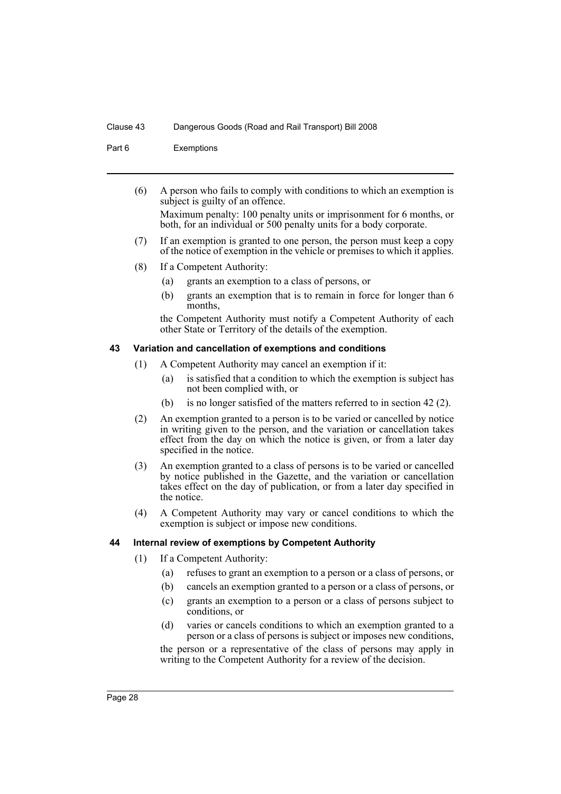Part 6 Exemptions

(6) A person who fails to comply with conditions to which an exemption is subject is guilty of an offence.

Maximum penalty: 100 penalty units or imprisonment for 6 months, or both, for an individual or 500 penalty units for a body corporate.

- (7) If an exemption is granted to one person, the person must keep a copy of the notice of exemption in the vehicle or premises to which it applies.
- (8) If a Competent Authority:
	- (a) grants an exemption to a class of persons, or
	- (b) grants an exemption that is to remain in force for longer than 6 months,

the Competent Authority must notify a Competent Authority of each other State or Territory of the details of the exemption.

#### <span id="page-31-0"></span>**43 Variation and cancellation of exemptions and conditions**

- (1) A Competent Authority may cancel an exemption if it:
	- (a) is satisfied that a condition to which the exemption is subject has not been complied with, or
	- (b) is no longer satisfied of the matters referred to in section 42 (2).
- (2) An exemption granted to a person is to be varied or cancelled by notice in writing given to the person, and the variation or cancellation takes effect from the day on which the notice is given, or from a later day specified in the notice.
- (3) An exemption granted to a class of persons is to be varied or cancelled by notice published in the Gazette, and the variation or cancellation takes effect on the day of publication, or from a later day specified in the notice.
- (4) A Competent Authority may vary or cancel conditions to which the exemption is subject or impose new conditions.

#### <span id="page-31-1"></span>**44 Internal review of exemptions by Competent Authority**

- (1) If a Competent Authority:
	- (a) refuses to grant an exemption to a person or a class of persons, or
	- (b) cancels an exemption granted to a person or a class of persons, or
	- (c) grants an exemption to a person or a class of persons subject to conditions, or
	- (d) varies or cancels conditions to which an exemption granted to a person or a class of persons is subject or imposes new conditions,

the person or a representative of the class of persons may apply in writing to the Competent Authority for a review of the decision.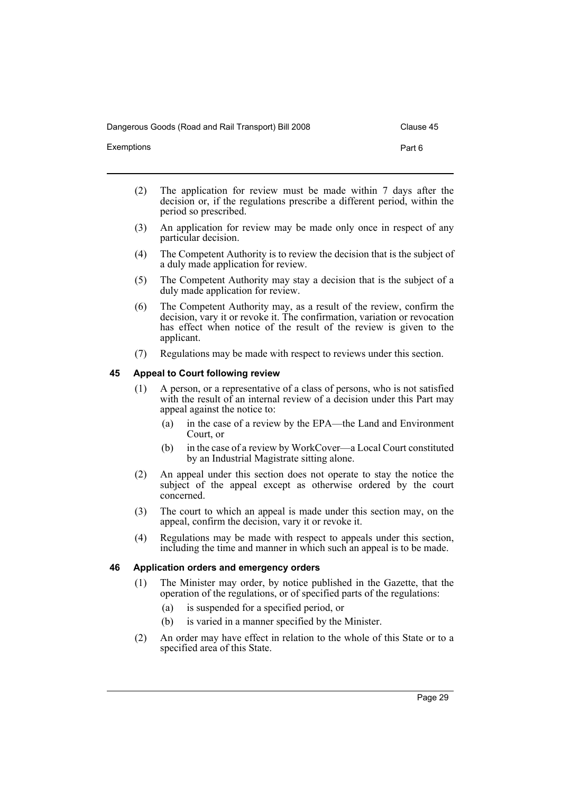Dangerous Goods (Road and Rail Transport) Bill 2008 Clause 45

Exemptions Part 6

- 
- (2) The application for review must be made within 7 days after the decision or, if the regulations prescribe a different period, within the period so prescribed.
- (3) An application for review may be made only once in respect of any particular decision.
- (4) The Competent Authority is to review the decision that is the subject of a duly made application for review.
- (5) The Competent Authority may stay a decision that is the subject of a duly made application for review.
- (6) The Competent Authority may, as a result of the review, confirm the decision, vary it or revoke it. The confirmation, variation or revocation has effect when notice of the result of the review is given to the applicant.
- (7) Regulations may be made with respect to reviews under this section.

#### <span id="page-32-0"></span>**45 Appeal to Court following review**

- (1) A person, or a representative of a class of persons, who is not satisfied with the result of an internal review of a decision under this Part may appeal against the notice to:
	- (a) in the case of a review by the EPA—the Land and Environment Court, or
	- (b) in the case of a review by WorkCover—a Local Court constituted by an Industrial Magistrate sitting alone.
- (2) An appeal under this section does not operate to stay the notice the subject of the appeal except as otherwise ordered by the court concerned.
- (3) The court to which an appeal is made under this section may, on the appeal, confirm the decision, vary it or revoke it.
- (4) Regulations may be made with respect to appeals under this section, including the time and manner in which such an appeal is to be made.

#### <span id="page-32-1"></span>**46 Application orders and emergency orders**

- (1) The Minister may order, by notice published in the Gazette, that the operation of the regulations, or of specified parts of the regulations:
	- (a) is suspended for a specified period, or
	- (b) is varied in a manner specified by the Minister.
- (2) An order may have effect in relation to the whole of this State or to a specified area of this State.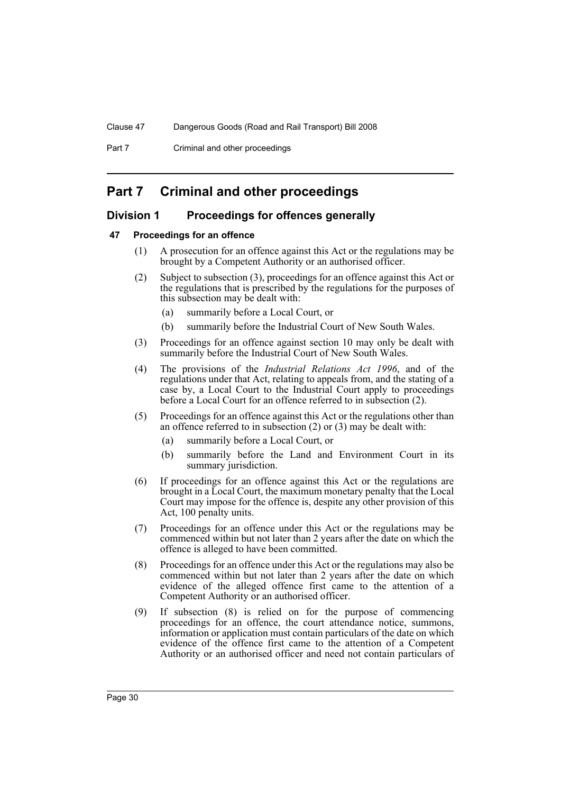# <span id="page-33-0"></span>**Part 7 Criminal and other proceedings**

# <span id="page-33-1"></span>**Division 1 Proceedings for offences generally**

#### <span id="page-33-2"></span>**47 Proceedings for an offence**

- (1) A prosecution for an offence against this Act or the regulations may be brought by a Competent Authority or an authorised officer.
- (2) Subject to subsection (3), proceedings for an offence against this Act or the regulations that is prescribed by the regulations for the purposes of this subsection may be dealt with:
	- (a) summarily before a Local Court, or
	- (b) summarily before the Industrial Court of New South Wales.
- (3) Proceedings for an offence against section 10 may only be dealt with summarily before the Industrial Court of New South Wales.
- (4) The provisions of the *Industrial Relations Act 1996*, and of the regulations under that Act, relating to appeals from, and the stating of a case by, a Local Court to the Industrial Court apply to proceedings before a Local Court for an offence referred to in subsection (2).
- (5) Proceedings for an offence against this Act or the regulations other than an offence referred to in subsection (2) or (3) may be dealt with:
	- (a) summarily before a Local Court, or
	- (b) summarily before the Land and Environment Court in its summary jurisdiction.
- (6) If proceedings for an offence against this Act or the regulations are brought in a Local Court, the maximum monetary penalty that the Local Court may impose for the offence is, despite any other provision of this Act, 100 penalty units.
- (7) Proceedings for an offence under this Act or the regulations may be commenced within but not later than 2 years after the date on which the offence is alleged to have been committed.
- (8) Proceedings for an offence under this Act or the regulations may also be commenced within but not later than 2 years after the date on which evidence of the alleged offence first came to the attention of a Competent Authority or an authorised officer.
- (9) If subsection (8) is relied on for the purpose of commencing proceedings for an offence, the court attendance notice, summons, information or application must contain particulars of the date on which evidence of the offence first came to the attention of a Competent Authority or an authorised officer and need not contain particulars of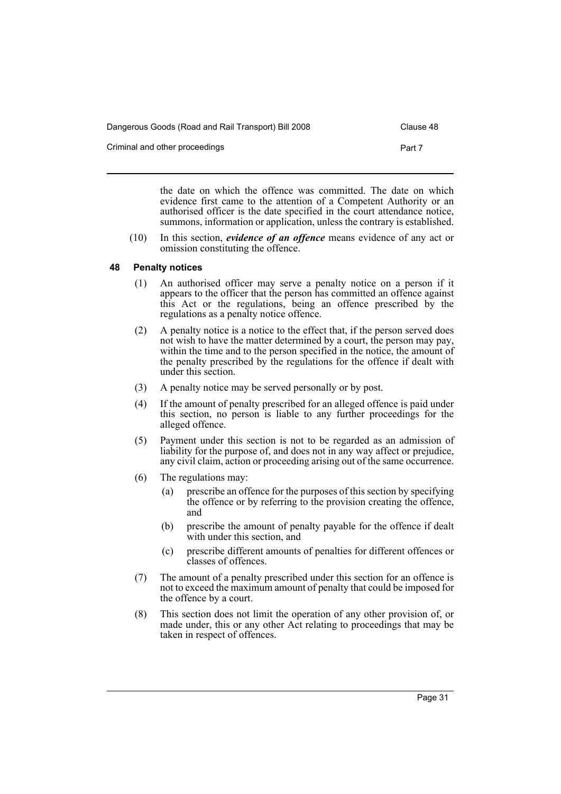| Dangerous Goods (Road and Rail Transport) Bill 2008 | Clause 48 |  |
|-----------------------------------------------------|-----------|--|
| Criminal and other proceedings                      | Part 7    |  |

the date on which the offence was committed. The date on which evidence first came to the attention of a Competent Authority or an authorised officer is the date specified in the court attendance notice,

summons, information or application, unless the contrary is established.

(10) In this section, *evidence of an offence* means evidence of any act or omission constituting the offence.

# <span id="page-34-0"></span>**48 Penalty notices**

- (1) An authorised officer may serve a penalty notice on a person if it appears to the officer that the person has committed an offence against this Act or the regulations, being an offence prescribed by the regulations as a penalty notice offence.
- (2) A penalty notice is a notice to the effect that, if the person served does not wish to have the matter determined by a court, the person may pay, within the time and to the person specified in the notice, the amount of the penalty prescribed by the regulations for the offence if dealt with under this section.
- (3) A penalty notice may be served personally or by post.
- (4) If the amount of penalty prescribed for an alleged offence is paid under this section, no person is liable to any further proceedings for the alleged offence.
- (5) Payment under this section is not to be regarded as an admission of liability for the purpose of, and does not in any way affect or prejudice, any civil claim, action or proceeding arising out of the same occurrence.
- (6) The regulations may:
	- (a) prescribe an offence for the purposes of this section by specifying the offence or by referring to the provision creating the offence, and
	- (b) prescribe the amount of penalty payable for the offence if dealt with under this section, and
	- (c) prescribe different amounts of penalties for different offences or classes of offences.
- (7) The amount of a penalty prescribed under this section for an offence is not to exceed the maximum amount of penalty that could be imposed for the offence by a court.
- (8) This section does not limit the operation of any other provision of, or made under, this or any other Act relating to proceedings that may be taken in respect of offences.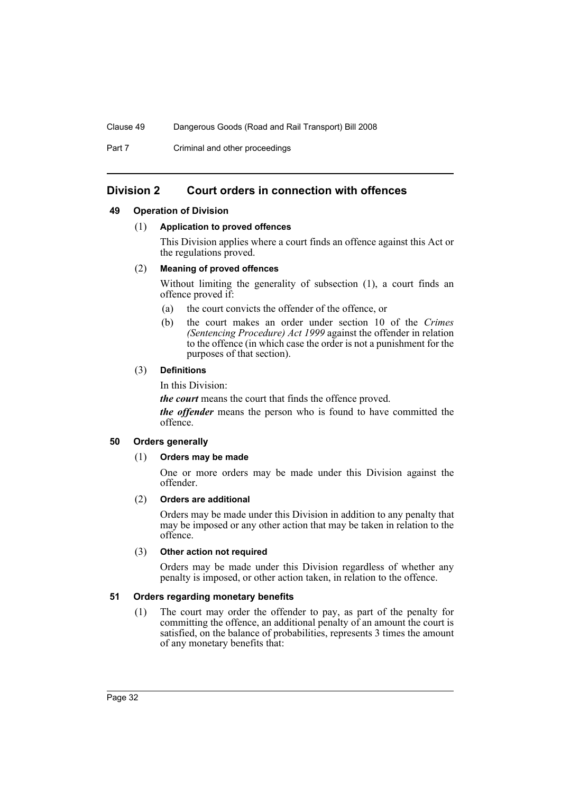Part 7 Criminal and other proceedings

# <span id="page-35-0"></span>**Division 2 Court orders in connection with offences**

#### <span id="page-35-1"></span>**49 Operation of Division**

#### (1) **Application to proved offences**

This Division applies where a court finds an offence against this Act or the regulations proved.

#### (2) **Meaning of proved offences**

Without limiting the generality of subsection (1), a court finds an offence proved if:

- (a) the court convicts the offender of the offence, or
- (b) the court makes an order under section 10 of the *Crimes (Sentencing Procedure) Act 1999* against the offender in relation to the offence (in which case the order is not a punishment for the purposes of that section).

#### (3) **Definitions**

In this Division:

*the court* means the court that finds the offence proved.

*the offender* means the person who is found to have committed the offence.

#### <span id="page-35-2"></span>**50 Orders generally**

#### (1) **Orders may be made**

One or more orders may be made under this Division against the offender.

#### (2) **Orders are additional**

Orders may be made under this Division in addition to any penalty that may be imposed or any other action that may be taken in relation to the offence.

#### (3) **Other action not required**

Orders may be made under this Division regardless of whether any penalty is imposed, or other action taken, in relation to the offence.

#### <span id="page-35-3"></span>**51 Orders regarding monetary benefits**

(1) The court may order the offender to pay, as part of the penalty for committing the offence, an additional penalty of an amount the court is satisfied, on the balance of probabilities, represents 3 times the amount of any monetary benefits that: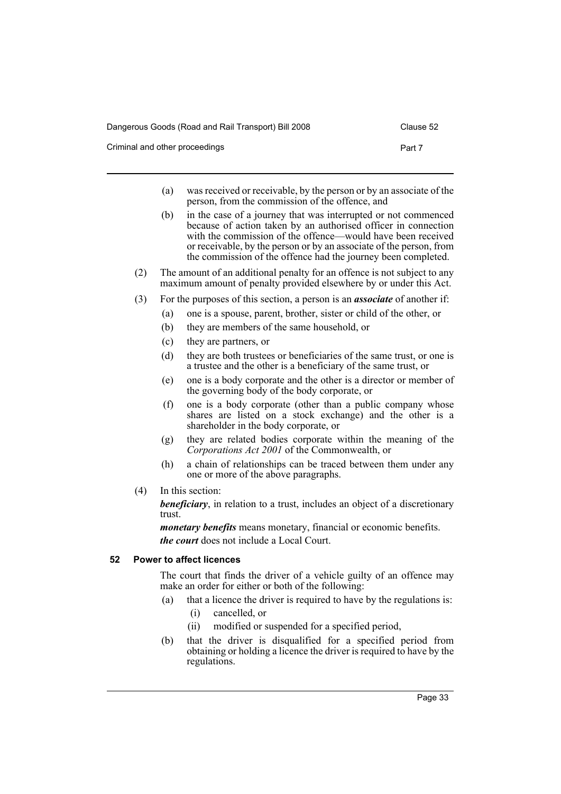| Dangerous Goods (Road and Rail Transport) Bill 2008 | Clause 52 |
|-----------------------------------------------------|-----------|
| Criminal and other proceedings                      | Part 7    |

- (a) was received or receivable, by the person or by an associate of the person, from the commission of the offence, and
- (b) in the case of a journey that was interrupted or not commenced because of action taken by an authorised officer in connection with the commission of the offence—would have been received or receivable, by the person or by an associate of the person, from the commission of the offence had the journey been completed.
- (2) The amount of an additional penalty for an offence is not subject to any maximum amount of penalty provided elsewhere by or under this Act.
- (3) For the purposes of this section, a person is an *associate* of another if:
	- (a) one is a spouse, parent, brother, sister or child of the other, or
	- (b) they are members of the same household, or
	- (c) they are partners, or
	- (d) they are both trustees or beneficiaries of the same trust, or one is a trustee and the other is a beneficiary of the same trust, or
	- (e) one is a body corporate and the other is a director or member of the governing body of the body corporate, or
	- (f) one is a body corporate (other than a public company whose shares are listed on a stock exchange) and the other is a shareholder in the body corporate, or
	- (g) they are related bodies corporate within the meaning of the *Corporations Act 2001* of the Commonwealth, or
	- (h) a chain of relationships can be traced between them under any one or more of the above paragraphs.
- (4) In this section:

*beneficiary*, in relation to a trust, includes an object of a discretionary trust.

*monetary benefits* means monetary, financial or economic benefits. *the court* does not include a Local Court.

### <span id="page-36-0"></span>**52 Power to affect licences**

The court that finds the driver of a vehicle guilty of an offence may make an order for either or both of the following:

- (a) that a licence the driver is required to have by the regulations is:
	- (i) cancelled, or
	- (ii) modified or suspended for a specified period,
- (b) that the driver is disqualified for a specified period from obtaining or holding a licence the driver is required to have by the regulations.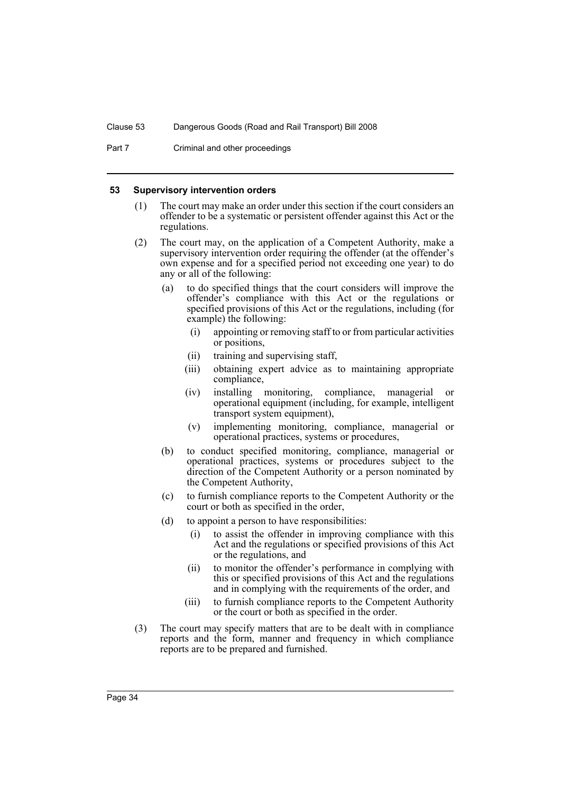Part 7 Criminal and other proceedings

#### <span id="page-37-0"></span>**53 Supervisory intervention orders**

- (1) The court may make an order under this section if the court considers an offender to be a systematic or persistent offender against this Act or the regulations.
- (2) The court may, on the application of a Competent Authority, make a supervisory intervention order requiring the offender (at the offender's own expense and for a specified period not exceeding one year) to do any or all of the following:
	- (a) to do specified things that the court considers will improve the offender's compliance with this Act or the regulations or specified provisions of this Act or the regulations, including (for example) the following:
		- (i) appointing or removing staff to or from particular activities or positions,
		- (ii) training and supervising staff,
		- (iii) obtaining expert advice as to maintaining appropriate compliance,
		- (iv) installing monitoring, compliance, managerial or operational equipment (including, for example, intelligent transport system equipment),
		- (v) implementing monitoring, compliance, managerial or operational practices, systems or procedures,
	- (b) to conduct specified monitoring, compliance, managerial or operational practices, systems or procedures subject to the direction of the Competent Authority or a person nominated by the Competent Authority,
	- (c) to furnish compliance reports to the Competent Authority or the court or both as specified in the order,
	- (d) to appoint a person to have responsibilities:
		- (i) to assist the offender in improving compliance with this Act and the regulations or specified provisions of this Act or the regulations, and
		- (ii) to monitor the offender's performance in complying with this or specified provisions of this Act and the regulations and in complying with the requirements of the order, and
		- (iii) to furnish compliance reports to the Competent Authority or the court or both as specified in the order.
- (3) The court may specify matters that are to be dealt with in compliance reports and the form, manner and frequency in which compliance reports are to be prepared and furnished.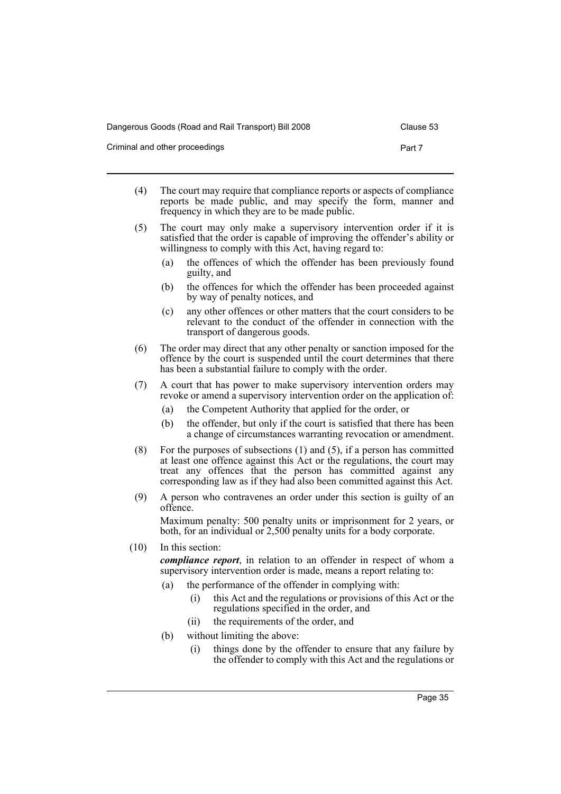Dangerous Goods (Road and Rail Transport) Bill 2008 Clause 53

Criminal and other proceedings **Part 7** Part 7

- (4) The court may require that compliance reports or aspects of compliance reports be made public, and may specify the form, manner and frequency in which they are to be made public.
- (5) The court may only make a supervisory intervention order if it is satisfied that the order is capable of improving the offender's ability or willingness to comply with this Act, having regard to:
	- (a) the offences of which the offender has been previously found guilty, and
	- (b) the offences for which the offender has been proceeded against by way of penalty notices, and
	- (c) any other offences or other matters that the court considers to be relevant to the conduct of the offender in connection with the transport of dangerous goods.
- (6) The order may direct that any other penalty or sanction imposed for the offence by the court is suspended until the court determines that there has been a substantial failure to comply with the order.
- (7) A court that has power to make supervisory intervention orders may revoke or amend a supervisory intervention order on the application of:
	- (a) the Competent Authority that applied for the order, or
	- (b) the offender, but only if the court is satisfied that there has been a change of circumstances warranting revocation or amendment.
- (8) For the purposes of subsections (1) and (5), if a person has committed at least one offence against this Act or the regulations, the court may treat any offences that the person has committed against any corresponding law as if they had also been committed against this Act.
- (9) A person who contravenes an order under this section is guilty of an offence.

Maximum penalty: 500 penalty units or imprisonment for 2 years, or both, for an individual or 2,500 penalty units for a body corporate.

(10) In this section:

*compliance report*, in relation to an offender in respect of whom a supervisory intervention order is made, means a report relating to:

- (a) the performance of the offender in complying with:
	- (i) this Act and the regulations or provisions of this Act or the regulations specified in the order, and
	- (ii) the requirements of the order, and
- (b) without limiting the above:
	- (i) things done by the offender to ensure that any failure by the offender to comply with this Act and the regulations or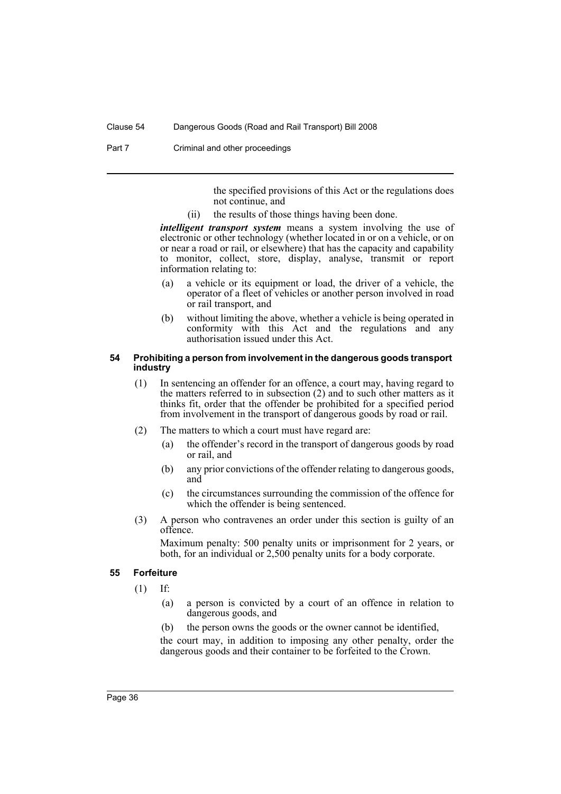Part 7 Criminal and other proceedings

the specified provisions of this Act or the regulations does not continue, and

(ii) the results of those things having been done.

*intelligent transport system* means a system involving the use of electronic or other technology (whether located in or on a vehicle, or on or near a road or rail, or elsewhere) that has the capacity and capability to monitor, collect, store, display, analyse, transmit or report information relating to:

- (a) a vehicle or its equipment or load, the driver of a vehicle, the operator of a fleet of vehicles or another person involved in road or rail transport, and
- (b) without limiting the above, whether a vehicle is being operated in conformity with this Act and the regulations and any authorisation issued under this Act.

#### <span id="page-39-0"></span>**54 Prohibiting a person from involvement in the dangerous goods transport industry**

- (1) In sentencing an offender for an offence, a court may, having regard to the matters referred to in subsection (2) and to such other matters as it thinks fit, order that the offender be prohibited for a specified period from involvement in the transport of dangerous goods by road or rail.
- (2) The matters to which a court must have regard are:
	- (a) the offender's record in the transport of dangerous goods by road or rail, and
	- (b) any prior convictions of the offender relating to dangerous goods, and
	- (c) the circumstances surrounding the commission of the offence for which the offender is being sentenced.
- (3) A person who contravenes an order under this section is guilty of an offence.

Maximum penalty: 500 penalty units or imprisonment for 2 years, or both, for an individual or 2,500 penalty units for a body corporate.

#### <span id="page-39-1"></span>**55 Forfeiture**

- (1) If:
	- (a) a person is convicted by a court of an offence in relation to dangerous goods, and
	- (b) the person owns the goods or the owner cannot be identified,

the court may, in addition to imposing any other penalty, order the dangerous goods and their container to be forfeited to the Crown.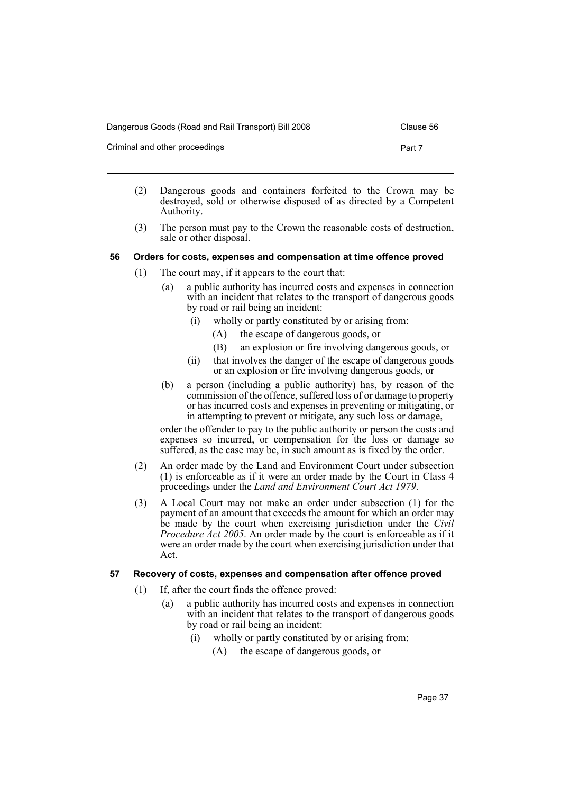| Dangerous Goods (Road and Rail Transport) Bill 2008 | Clause 56 |
|-----------------------------------------------------|-----------|
|-----------------------------------------------------|-----------|

| Criminal and other proceedings | Part 7 |  |
|--------------------------------|--------|--|
|                                |        |  |

- (2) Dangerous goods and containers forfeited to the Crown may be destroyed, sold or otherwise disposed of as directed by a Competent Authority.
- (3) The person must pay to the Crown the reasonable costs of destruction, sale or other disposal.

#### <span id="page-40-0"></span>**56 Orders for costs, expenses and compensation at time offence proved**

- (1) The court may, if it appears to the court that:
	- (a) a public authority has incurred costs and expenses in connection with an incident that relates to the transport of dangerous goods by road or rail being an incident:
		- (i) wholly or partly constituted by or arising from:
			- (A) the escape of dangerous goods, or
			- (B) an explosion or fire involving dangerous goods, or
		- (ii) that involves the danger of the escape of dangerous goods or an explosion or fire involving dangerous goods, or
	- (b) a person (including a public authority) has, by reason of the commission of the offence, suffered loss of or damage to property or has incurred costs and expenses in preventing or mitigating, or in attempting to prevent or mitigate, any such loss or damage,

order the offender to pay to the public authority or person the costs and expenses so incurred, or compensation for the loss or damage so suffered, as the case may be, in such amount as is fixed by the order.

- (2) An order made by the Land and Environment Court under subsection (1) is enforceable as if it were an order made by the Court in Class 4 proceedings under the *Land and Environment Court Act 1979*.
- (3) A Local Court may not make an order under subsection (1) for the payment of an amount that exceeds the amount for which an order may be made by the court when exercising jurisdiction under the *Civil Procedure Act 2005*. An order made by the court is enforceable as if it were an order made by the court when exercising jurisdiction under that Act.

#### <span id="page-40-1"></span>**57 Recovery of costs, expenses and compensation after offence proved**

- (1) If, after the court finds the offence proved:
	- (a) a public authority has incurred costs and expenses in connection with an incident that relates to the transport of dangerous goods by road or rail being an incident:
		- (i) wholly or partly constituted by or arising from:
			- (A) the escape of dangerous goods, or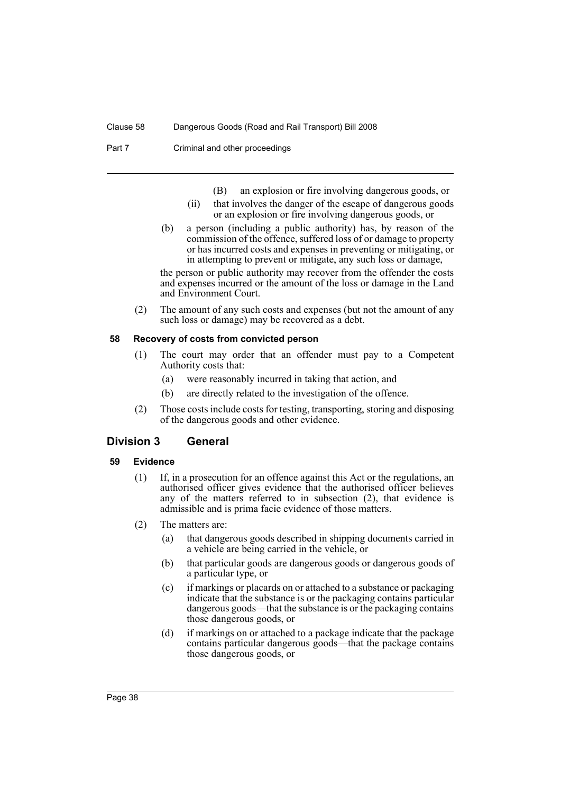Part 7 Criminal and other proceedings

- (B) an explosion or fire involving dangerous goods, or
- (ii) that involves the danger of the escape of dangerous goods or an explosion or fire involving dangerous goods, or
- (b) a person (including a public authority) has, by reason of the commission of the offence, suffered loss of or damage to property or has incurred costs and expenses in preventing or mitigating, or in attempting to prevent or mitigate, any such loss or damage,

the person or public authority may recover from the offender the costs and expenses incurred or the amount of the loss or damage in the Land and Environment Court.

(2) The amount of any such costs and expenses (but not the amount of any such loss or damage) may be recovered as a debt.

#### <span id="page-41-0"></span>**58 Recovery of costs from convicted person**

- (1) The court may order that an offender must pay to a Competent Authority costs that:
	- (a) were reasonably incurred in taking that action, and
	- (b) are directly related to the investigation of the offence.
- (2) Those costs include costs for testing, transporting, storing and disposing of the dangerous goods and other evidence.

#### <span id="page-41-1"></span>**Division 3 General**

#### <span id="page-41-2"></span>**59 Evidence**

- (1) If, in a prosecution for an offence against this Act or the regulations, an authorised officer gives evidence that the authorised officer believes any of the matters referred to in subsection (2), that evidence is admissible and is prima facie evidence of those matters.
- (2) The matters are:
	- (a) that dangerous goods described in shipping documents carried in a vehicle are being carried in the vehicle, or
	- (b) that particular goods are dangerous goods or dangerous goods of a particular type, or
	- (c) if markings or placards on or attached to a substance or packaging indicate that the substance is or the packaging contains particular dangerous goods—that the substance is or the packaging contains those dangerous goods, or
	- (d) if markings on or attached to a package indicate that the package contains particular dangerous goods—that the package contains those dangerous goods, or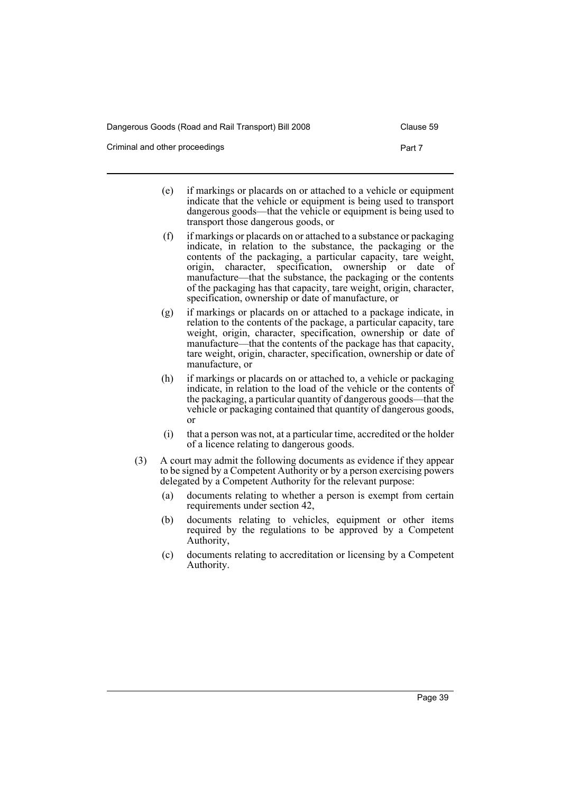Dangerous Goods (Road and Rail Transport) Bill 2008 Clause 59

Criminal and other proceedings **Part 7** Part 7

- (e) if markings or placards on or attached to a vehicle or equipment indicate that the vehicle or equipment is being used to transport dangerous goods—that the vehicle or equipment is being used to transport those dangerous goods, or
- (f) if markings or placards on or attached to a substance or packaging indicate, in relation to the substance, the packaging or the contents of the packaging, a particular capacity, tare weight, origin, character, specification, ownership or date of manufacture—that the substance, the packaging or the contents of the packaging has that capacity, tare weight, origin, character, specification, ownership or date of manufacture, or
- (g) if markings or placards on or attached to a package indicate, in relation to the contents of the package, a particular capacity, tare weight, origin, character, specification, ownership or date of manufacture—that the contents of the package has that capacity, tare weight, origin, character, specification, ownership or date of manufacture, or
- (h) if markings or placards on or attached to, a vehicle or packaging indicate, in relation to the load of the vehicle or the contents of the packaging, a particular quantity of dangerous goods—that the vehicle or packaging contained that quantity of dangerous goods, or
- (i) that a person was not, at a particular time, accredited or the holder of a licence relating to dangerous goods.
- (3) A court may admit the following documents as evidence if they appear to be signed by a Competent Authority or by a person exercising powers delegated by a Competent Authority for the relevant purpose:
	- (a) documents relating to whether a person is exempt from certain requirements under section 42,
	- (b) documents relating to vehicles, equipment or other items required by the regulations to be approved by a Competent Authority,
	- (c) documents relating to accreditation or licensing by a Competent Authority.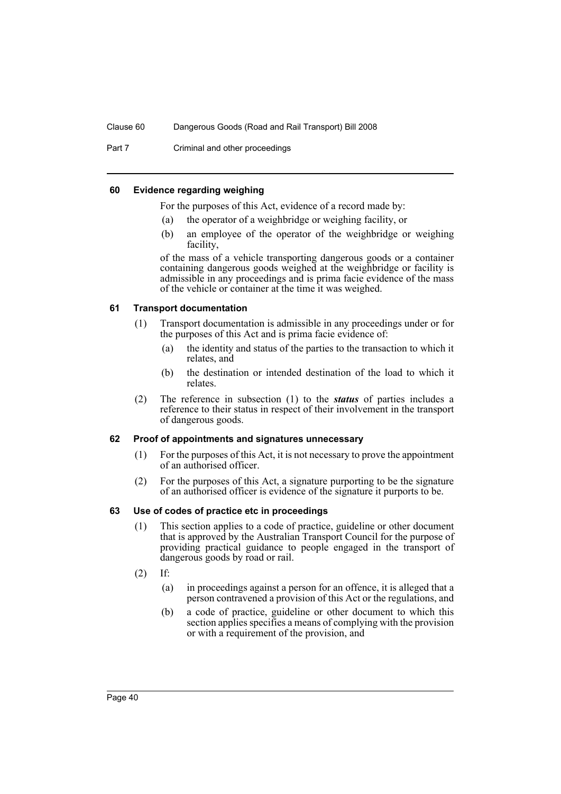Part 7 Criminal and other proceedings

#### <span id="page-43-0"></span>**60 Evidence regarding weighing**

For the purposes of this Act, evidence of a record made by:

- (a) the operator of a weighbridge or weighing facility, or
- (b) an employee of the operator of the weighbridge or weighing facility.

of the mass of a vehicle transporting dangerous goods or a container containing dangerous goods weighed at the weighbridge or facility is admissible in any proceedings and is prima facie evidence of the mass of the vehicle or container at the time it was weighed.

#### <span id="page-43-1"></span>**61 Transport documentation**

- (1) Transport documentation is admissible in any proceedings under or for the purposes of this Act and is prima facie evidence of:
	- (a) the identity and status of the parties to the transaction to which it relates, and
	- (b) the destination or intended destination of the load to which it relates.
- (2) The reference in subsection (1) to the *status* of parties includes a reference to their status in respect of their involvement in the transport of dangerous goods.

#### <span id="page-43-2"></span>**62 Proof of appointments and signatures unnecessary**

- (1) For the purposes of this Act, it is not necessary to prove the appointment of an authorised officer.
- (2) For the purposes of this Act, a signature purporting to be the signature of an authorised officer is evidence of the signature it purports to be.

#### <span id="page-43-3"></span>**63 Use of codes of practice etc in proceedings**

- (1) This section applies to a code of practice, guideline or other document that is approved by the Australian Transport Council for the purpose of providing practical guidance to people engaged in the transport of dangerous goods by road or rail.
- $(2)$  If:
	- (a) in proceedings against a person for an offence, it is alleged that a person contravened a provision of this Act or the regulations, and
	- (b) a code of practice, guideline or other document to which this section applies specifies a means of complying with the provision or with a requirement of the provision, and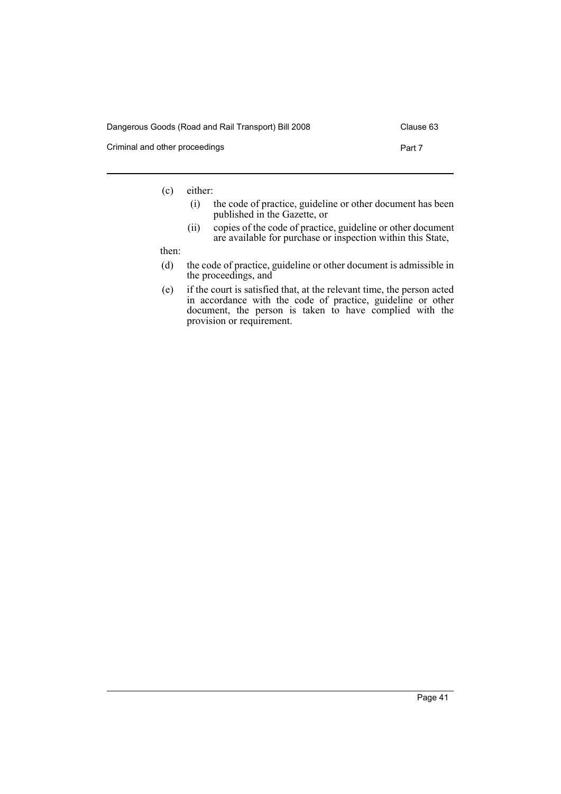| Dangerous Goods (Road and Rail Transport) Bill 2008 | Clause 63 |
|-----------------------------------------------------|-----------|
| Criminal and other proceedings                      | Part 7    |

(c) either:

- (i) the code of practice, guideline or other document has been published in the Gazette, or
- (ii) copies of the code of practice, guideline or other document are available for purchase or inspection within this State,

then:

- (d) the code of practice, guideline or other document is admissible in the proceedings, and
- (e) if the court is satisfied that, at the relevant time, the person acted in accordance with the code of practice, guideline or other document, the person is taken to have complied with the provision or requirement.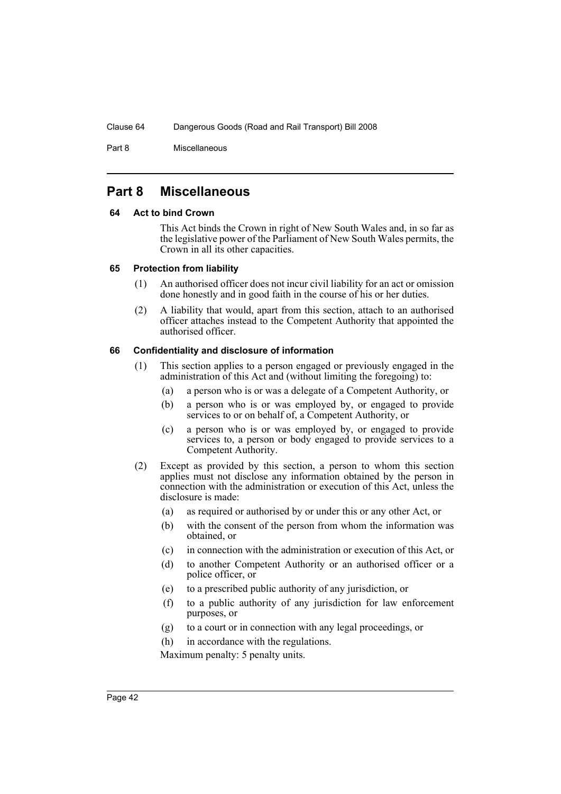Part 8 Miscellaneous

# <span id="page-45-0"></span>**Part 8 Miscellaneous**

#### <span id="page-45-1"></span>**64 Act to bind Crown**

This Act binds the Crown in right of New South Wales and, in so far as the legislative power of the Parliament of New South Wales permits, the Crown in all its other capacities.

#### <span id="page-45-2"></span>**65 Protection from liability**

- (1) An authorised officer does not incur civil liability for an act or omission done honestly and in good faith in the course of his or her duties.
- (2) A liability that would, apart from this section, attach to an authorised officer attaches instead to the Competent Authority that appointed the authorised officer.

#### <span id="page-45-3"></span>**66 Confidentiality and disclosure of information**

- (1) This section applies to a person engaged or previously engaged in the administration of this Act and (without limiting the foregoing) to:
	- (a) a person who is or was a delegate of a Competent Authority, or
	- (b) a person who is or was employed by, or engaged to provide services to or on behalf of, a Competent Authority, or
	- (c) a person who is or was employed by, or engaged to provide services to, a person or body engaged to provide services to a Competent Authority.
- (2) Except as provided by this section, a person to whom this section applies must not disclose any information obtained by the person in connection with the administration or execution of this Act, unless the disclosure is made:
	- (a) as required or authorised by or under this or any other Act, or
	- (b) with the consent of the person from whom the information was obtained, or
	- (c) in connection with the administration or execution of this Act, or
	- (d) to another Competent Authority or an authorised officer or a police officer, or
	- (e) to a prescribed public authority of any jurisdiction, or
	- (f) to a public authority of any jurisdiction for law enforcement purposes, or
	- (g) to a court or in connection with any legal proceedings, or
	- (h) in accordance with the regulations.

Maximum penalty: 5 penalty units.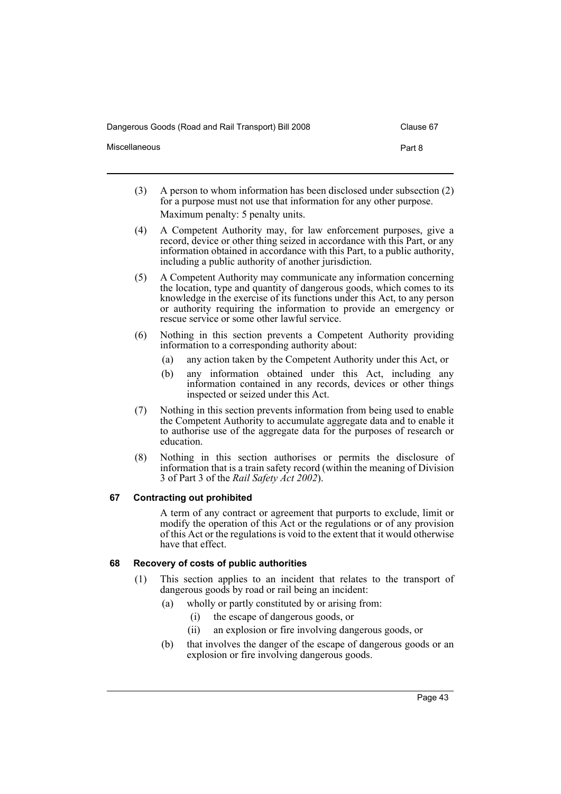Dangerous Goods (Road and Rail Transport) Bill 2008 Clause 67

| Miscellaneous | Part 8 |
|---------------|--------|
|               |        |

- (3) A person to whom information has been disclosed under subsection (2) for a purpose must not use that information for any other purpose. Maximum penalty: 5 penalty units.
- (4) A Competent Authority may, for law enforcement purposes, give a record, device or other thing seized in accordance with this Part, or any information obtained in accordance with this Part, to a public authority, including a public authority of another jurisdiction.
- (5) A Competent Authority may communicate any information concerning the location, type and quantity of dangerous goods, which comes to its knowledge in the exercise of its functions under this Act, to any person or authority requiring the information to provide an emergency or rescue service or some other lawful service.
- (6) Nothing in this section prevents a Competent Authority providing information to a corresponding authority about:
	- (a) any action taken by the Competent Authority under this Act, or
	- (b) any information obtained under this Act, including any information contained in any records, devices or other things inspected or seized under this Act.
- (7) Nothing in this section prevents information from being used to enable the Competent Authority to accumulate aggregate data and to enable it to authorise use of the aggregate data for the purposes of research or education.
- (8) Nothing in this section authorises or permits the disclosure of information that is a train safety record (within the meaning of Division 3 of Part 3 of the *Rail Safety Act 2002*).

# <span id="page-46-0"></span>**67 Contracting out prohibited**

A term of any contract or agreement that purports to exclude, limit or modify the operation of this Act or the regulations or of any provision of this Act or the regulations is void to the extent that it would otherwise have that effect.

# <span id="page-46-1"></span>**68 Recovery of costs of public authorities**

- (1) This section applies to an incident that relates to the transport of dangerous goods by road or rail being an incident:
	- (a) wholly or partly constituted by or arising from:
		- (i) the escape of dangerous goods, or
		- (ii) an explosion or fire involving dangerous goods, or
	- (b) that involves the danger of the escape of dangerous goods or an explosion or fire involving dangerous goods.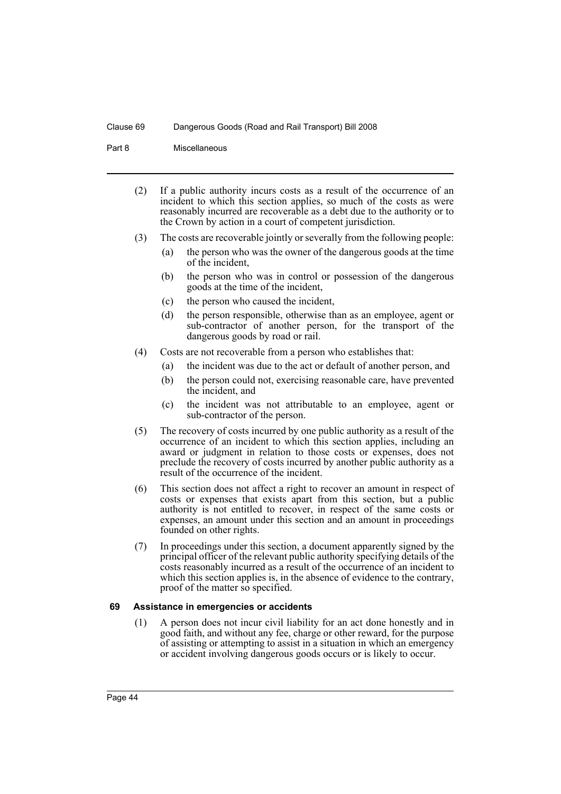#### Part 8 Miscellaneous

- (2) If a public authority incurs costs as a result of the occurrence of an incident to which this section applies, so much of the costs as were reasonably incurred are recoverable as a debt due to the authority or to the Crown by action in a court of competent jurisdiction.
- (3) The costs are recoverable jointly or severally from the following people:
	- (a) the person who was the owner of the dangerous goods at the time of the incident,
	- (b) the person who was in control or possession of the dangerous goods at the time of the incident,
	- (c) the person who caused the incident,
	- (d) the person responsible, otherwise than as an employee, agent or sub-contractor of another person, for the transport of the dangerous goods by road or rail.
- (4) Costs are not recoverable from a person who establishes that:
	- (a) the incident was due to the act or default of another person, and
	- (b) the person could not, exercising reasonable care, have prevented the incident, and
	- (c) the incident was not attributable to an employee, agent or sub-contractor of the person.
- (5) The recovery of costs incurred by one public authority as a result of the occurrence of an incident to which this section applies, including an award or judgment in relation to those costs or expenses, does not preclude the recovery of costs incurred by another public authority as a result of the occurrence of the incident.
- (6) This section does not affect a right to recover an amount in respect of costs or expenses that exists apart from this section, but a public authority is not entitled to recover, in respect of the same costs or expenses, an amount under this section and an amount in proceedings founded on other rights.
- (7) In proceedings under this section, a document apparently signed by the principal officer of the relevant public authority specifying details of the costs reasonably incurred as a result of the occurrence of an incident to which this section applies is, in the absence of evidence to the contrary, proof of the matter so specified.

#### <span id="page-47-0"></span>**69 Assistance in emergencies or accidents**

(1) A person does not incur civil liability for an act done honestly and in good faith, and without any fee, charge or other reward, for the purpose of assisting or attempting to assist in a situation in which an emergency or accident involving dangerous goods occurs or is likely to occur.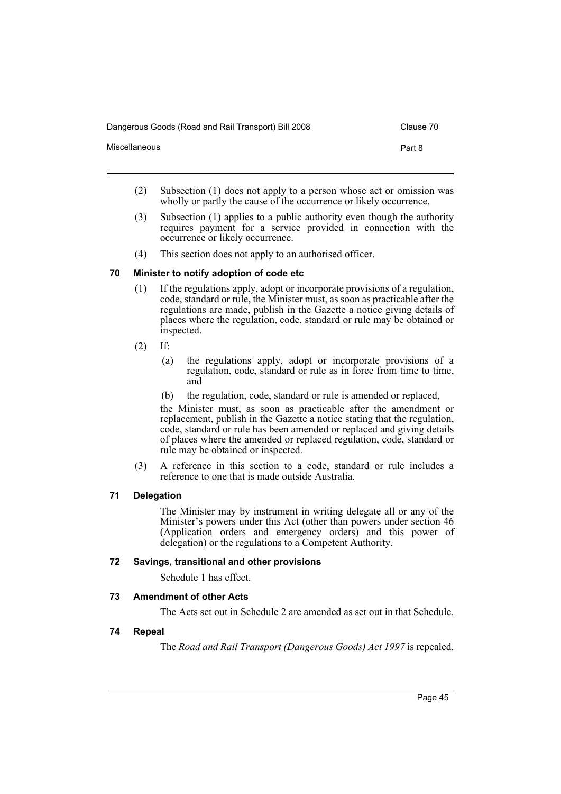Dangerous Goods (Road and Rail Transport) Bill 2008 Clause 70

Miscellaneous **Part 8** 

- 
- (2) Subsection (1) does not apply to a person whose act or omission was wholly or partly the cause of the occurrence or likely occurrence.
- (3) Subsection (1) applies to a public authority even though the authority requires payment for a service provided in connection with the occurrence or likely occurrence.
- (4) This section does not apply to an authorised officer.

#### <span id="page-48-0"></span>**70 Minister to notify adoption of code etc**

- (1) If the regulations apply, adopt or incorporate provisions of a regulation, code, standard or rule, the Minister must, as soon as practicable after the regulations are made, publish in the Gazette a notice giving details of places where the regulation, code, standard or rule may be obtained or inspected.
- $(2)$  If:
	- (a) the regulations apply, adopt or incorporate provisions of a regulation, code, standard or rule as in force from time to time, and
	- (b) the regulation, code, standard or rule is amended or replaced,

the Minister must, as soon as practicable after the amendment or replacement, publish in the Gazette a notice stating that the regulation, code, standard or rule has been amended or replaced and giving details of places where the amended or replaced regulation, code, standard or rule may be obtained or inspected.

(3) A reference in this section to a code, standard or rule includes a reference to one that is made outside Australia.

#### <span id="page-48-1"></span>**71 Delegation**

The Minister may by instrument in writing delegate all or any of the Minister's powers under this Act (other than powers under section 46 (Application orders and emergency orders) and this power of delegation) or the regulations to a Competent Authority.

### <span id="page-48-2"></span>**72 Savings, transitional and other provisions**

Schedule 1 has effect.

#### <span id="page-48-3"></span>**73 Amendment of other Acts**

The Acts set out in Schedule 2 are amended as set out in that Schedule.

#### <span id="page-48-4"></span>**74 Repeal**

The *Road and Rail Transport (Dangerous Goods) Act 1997* is repealed.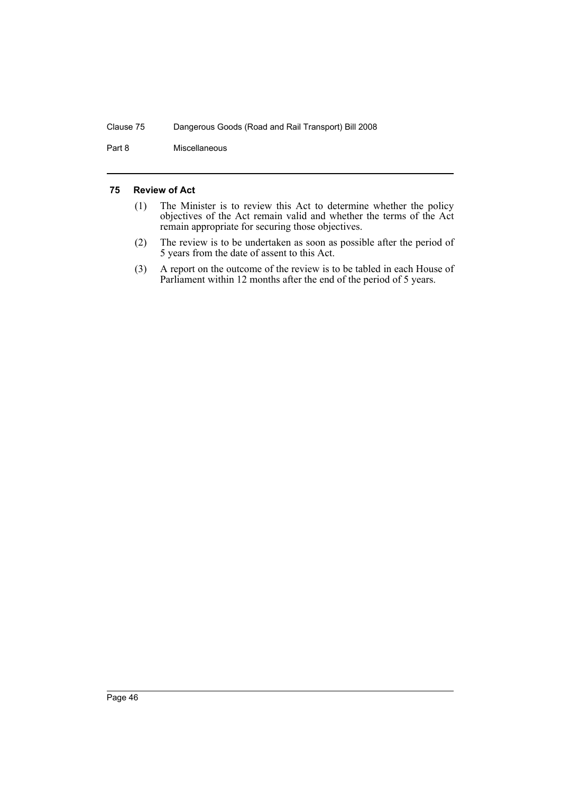Part 8 Miscellaneous

#### <span id="page-49-0"></span>**75 Review of Act**

- (1) The Minister is to review this Act to determine whether the policy objectives of the Act remain valid and whether the terms of the Act remain appropriate for securing those objectives.
- (2) The review is to be undertaken as soon as possible after the period of 5 years from the date of assent to this Act.
- (3) A report on the outcome of the review is to be tabled in each House of Parliament within 12 months after the end of the period of 5 years.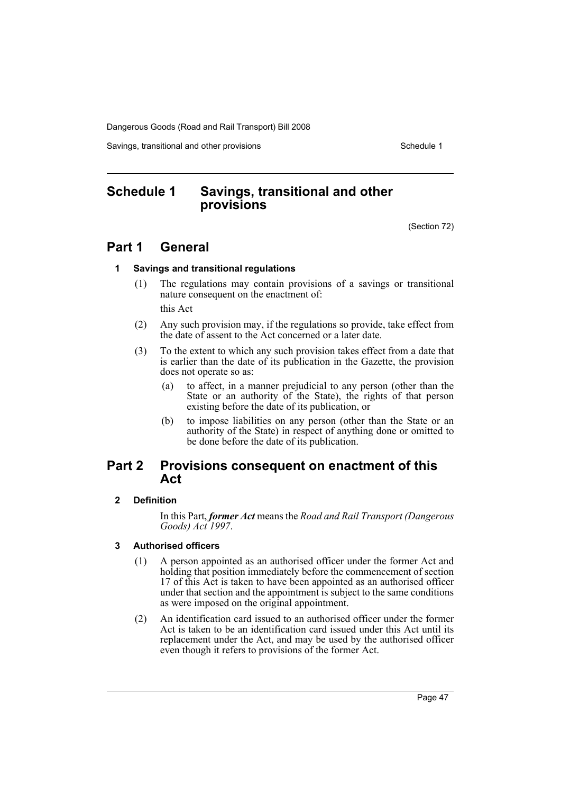Savings, transitional and other provisions Schedule 1 and Schedule 1

# <span id="page-50-0"></span>**Schedule 1 Savings, transitional and other provisions**

(Section 72)

# **Part 1 General**

#### **1 Savings and transitional regulations**

(1) The regulations may contain provisions of a savings or transitional nature consequent on the enactment of:

this Act

- (2) Any such provision may, if the regulations so provide, take effect from the date of assent to the Act concerned or a later date.
- (3) To the extent to which any such provision takes effect from a date that is earlier than the date of its publication in the Gazette, the provision does not operate so as:
	- (a) to affect, in a manner prejudicial to any person (other than the State or an authority of the State), the rights of that person existing before the date of its publication, or
	- (b) to impose liabilities on any person (other than the State or an authority of the State) in respect of anything done or omitted to be done before the date of its publication.

# **Part 2 Provisions consequent on enactment of this Act**

#### **2 Definition**

In this Part, *former Act* means the *Road and Rail Transport (Dangerous Goods) Act 1997*.

#### **3 Authorised officers**

- (1) A person appointed as an authorised officer under the former Act and holding that position immediately before the commencement of section 17 of this Act is taken to have been appointed as an authorised officer under that section and the appointment is subject to the same conditions as were imposed on the original appointment.
- (2) An identification card issued to an authorised officer under the former Act is taken to be an identification card issued under this Act until its replacement under the Act, and may be used by the authorised officer even though it refers to provisions of the former Act.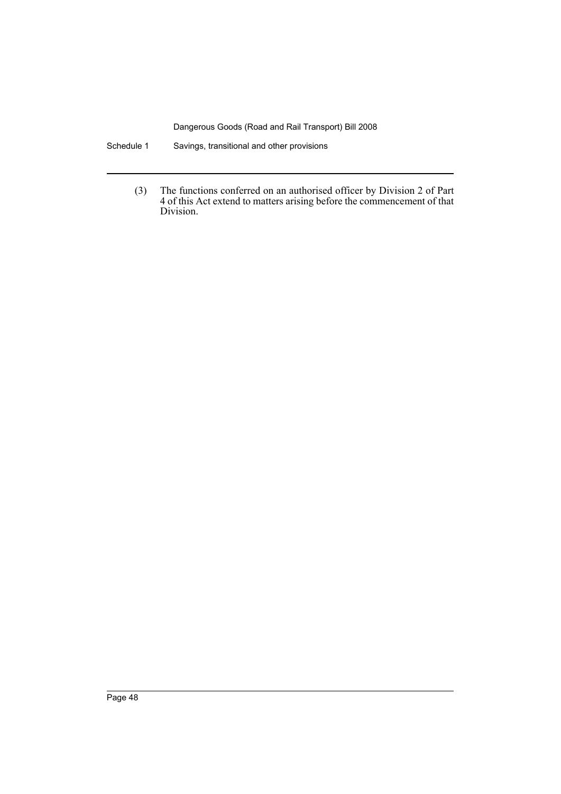Schedule 1 Savings, transitional and other provisions

(3) The functions conferred on an authorised officer by Division 2 of Part 4 of this Act extend to matters arising before the commencement of that Division.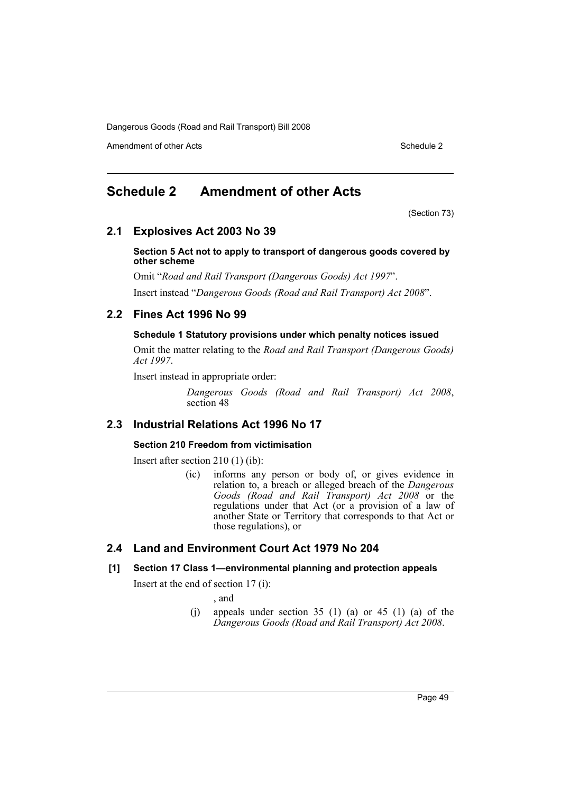Amendment of other Acts **Schedule 2** and the 2 and the 2 and 2 and 2 and 2 and 2 and 2 and 2 and 2 and 2 and 2 and 2 and 2 and 2 and 2 and 2 and 2 and 2 and 2 and 2 and 2 and 2 and 2 and 2 and 2 and 2 and 2 and 2 and 2 and

# <span id="page-52-0"></span>**Schedule 2 Amendment of other Acts**

(Section 73)

# **2.1 Explosives Act 2003 No 39**

**Section 5 Act not to apply to transport of dangerous goods covered by other scheme**

Omit "*Road and Rail Transport (Dangerous Goods) Act 1997*".

Insert instead "*Dangerous Goods (Road and Rail Transport) Act 2008*".

# **2.2 Fines Act 1996 No 99**

### **Schedule 1 Statutory provisions under which penalty notices issued**

Omit the matter relating to the *Road and Rail Transport (Dangerous Goods) Act 1997*.

Insert instead in appropriate order:

*Dangerous Goods (Road and Rail Transport) Act 2008*, section 48

# **2.3 Industrial Relations Act 1996 No 17**

#### **Section 210 Freedom from victimisation**

Insert after section 210 (1) (ib):

(ic) informs any person or body of, or gives evidence in relation to, a breach or alleged breach of the *Dangerous Goods (Road and Rail Transport) Act 2008* or the regulations under that Act (or a provision of a law of another State or Territory that corresponds to that Act or those regulations), or

# **2.4 Land and Environment Court Act 1979 No 204**

#### **[1] Section 17 Class 1—environmental planning and protection appeals**

Insert at the end of section 17 (i):

, and

(j) appeals under section  $35$  (1) (a) or  $45$  (1) (a) of the *Dangerous Goods (Road and Rail Transport) Act 2008*.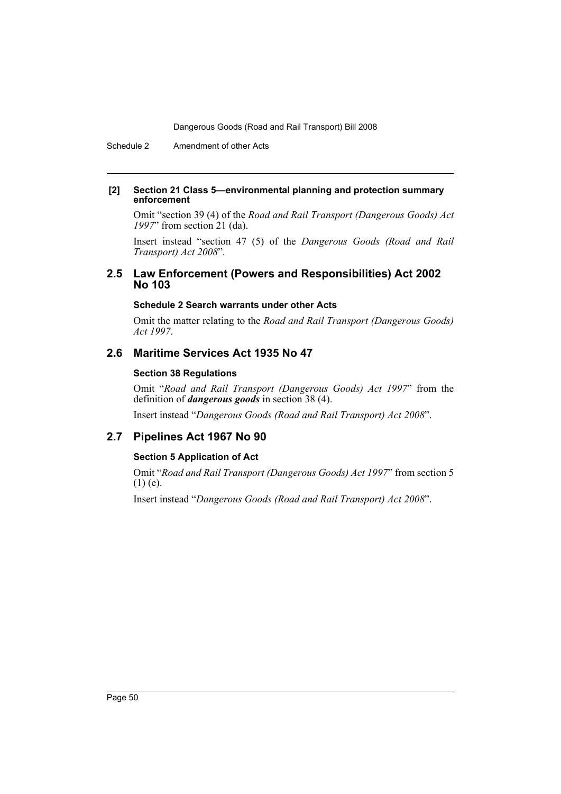Schedule 2 Amendment of other Acts

#### **[2] Section 21 Class 5—environmental planning and protection summary enforcement**

Omit "section 39 (4) of the *Road and Rail Transport (Dangerous Goods) Act 1997*" from section 21 (da).

Insert instead "section 47 (5) of the *Dangerous Goods (Road and Rail Transport) Act 2008*".

# **2.5 Law Enforcement (Powers and Responsibilities) Act 2002 No 103**

#### **Schedule 2 Search warrants under other Acts**

Omit the matter relating to the *Road and Rail Transport (Dangerous Goods) Act 1997*.

# **2.6 Maritime Services Act 1935 No 47**

### **Section 38 Regulations**

Omit "*Road and Rail Transport (Dangerous Goods) Act 1997*" from the definition of *dangerous goods* in section 38 (4).

Insert instead "*Dangerous Goods (Road and Rail Transport) Act 2008*".

# **2.7 Pipelines Act 1967 No 90**

# **Section 5 Application of Act**

Omit "*Road and Rail Transport (Dangerous Goods) Act 1997*" from section 5  $(1)$  (e).

Insert instead "*Dangerous Goods (Road and Rail Transport) Act 2008*".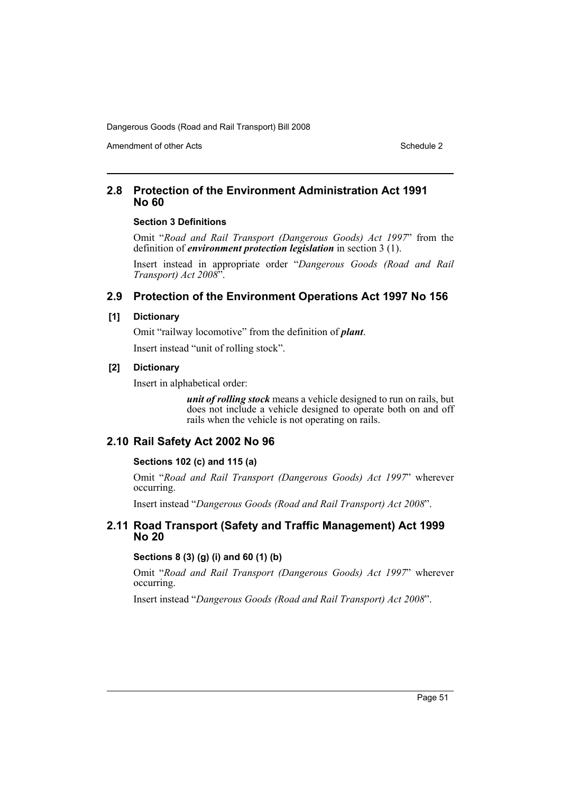Amendment of other Acts **Schedule 2** and the 2 and the 2 and 2 and 2 and 2 and 2 and 2 and 2 and 2 and 2 and 2 and 2 and 2 and 2 and 2 and 2 and 2 and 2 and 2 and 2 and 2 and 2 and 2 and 2 and 2 and 2 and 2 and 2 and 2 and

# **2.8 Protection of the Environment Administration Act 1991 No 60**

#### **Section 3 Definitions**

Omit "*Road and Rail Transport (Dangerous Goods) Act 1997*" from the definition of *environment protection legislation* in section 3 (1).

Insert instead in appropriate order "*Dangerous Goods (Road and Rail Transport) Act 2008*".

# **2.9 Protection of the Environment Operations Act 1997 No 156**

#### **[1] Dictionary**

Omit "railway locomotive" from the definition of *plant*. Insert instead "unit of rolling stock".

#### **[2] Dictionary**

Insert in alphabetical order:

*unit of rolling stock* means a vehicle designed to run on rails, but does not include a vehicle designed to operate both on and off rails when the vehicle is not operating on rails.

#### **2.10 Rail Safety Act 2002 No 96**

#### **Sections 102 (c) and 115 (a)**

Omit "*Road and Rail Transport (Dangerous Goods) Act 1997*" wherever occurring.

Insert instead "*Dangerous Goods (Road and Rail Transport) Act 2008*".

### **2.11 Road Transport (Safety and Traffic Management) Act 1999 No 20**

#### **Sections 8 (3) (g) (i) and 60 (1) (b)**

Omit "*Road and Rail Transport (Dangerous Goods) Act 1997*" wherever occurring.

Insert instead "*Dangerous Goods (Road and Rail Transport) Act 2008*".